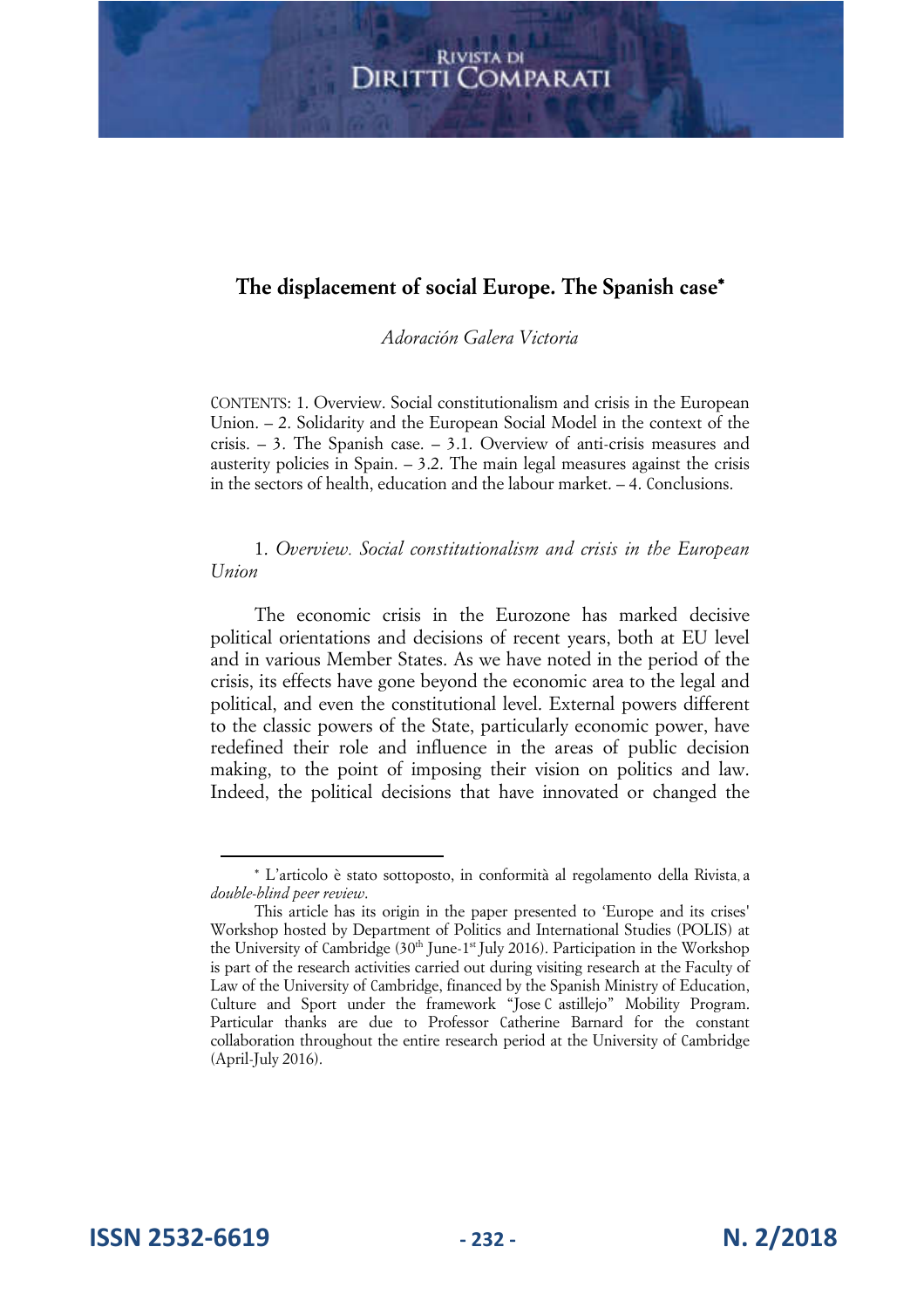## **The displacement of social Europe. The Spanish case**\*

*Adoración Galera Victoria* 

CONTENTS: 1. Overview. Social constitutionalism and crisis in the European Union. – 2. Solidarity and the European Social Model in the context of the crisis. – 3. The Spanish case. – 3.1. Overview of anti-crisis measures and austerity policies in Spain.  $-3.2$ . The main legal measures against the crisis in the sectors of health, education and the labour market. – 4. Conclusions.

1. *Overview. Social constitutionalism and crisis in the European Union* 

The economic crisis in the Eurozone has marked decisive political orientations and decisions of recent years, both at EU level and in various Member States. As we have noted in the period of the crisis, its effects have gone beyond the economic area to the legal and political, and even the constitutional level. External powers different to the classic powers of the State, particularly economic power, have redefined their role and influence in the areas of public decision making, to the point of imposing their vision on politics and law. Indeed, the political decisions that have innovated or changed the

**ISSN 2532-6619 - 232 - N. 2/2018**

<sup>\*</sup> L'articolo è stato sottoposto, in conformità al regolamento della Rivista a , *double-blind peer review*.

This article has its origin in the paper presented to 'Europe and its crises' Workshop hosted by Department of Politics and International Studies (POLIS) at the University of Cambridge (30<sup>th</sup> June-1<sup>st</sup> July 2016). Participation in the Workshop is part of the research activities carried out during visiting research at the Faculty of Law of the University of Cambridge, financed by the Spanish Ministry of Education, Culture and Sport under the framework "Jose C astillejo" Mobility Program. Particular thanks are due to Professor Catherine Barnard for the constant collaboration throughout the entire research period at the University of Cambridge (April-July 2016).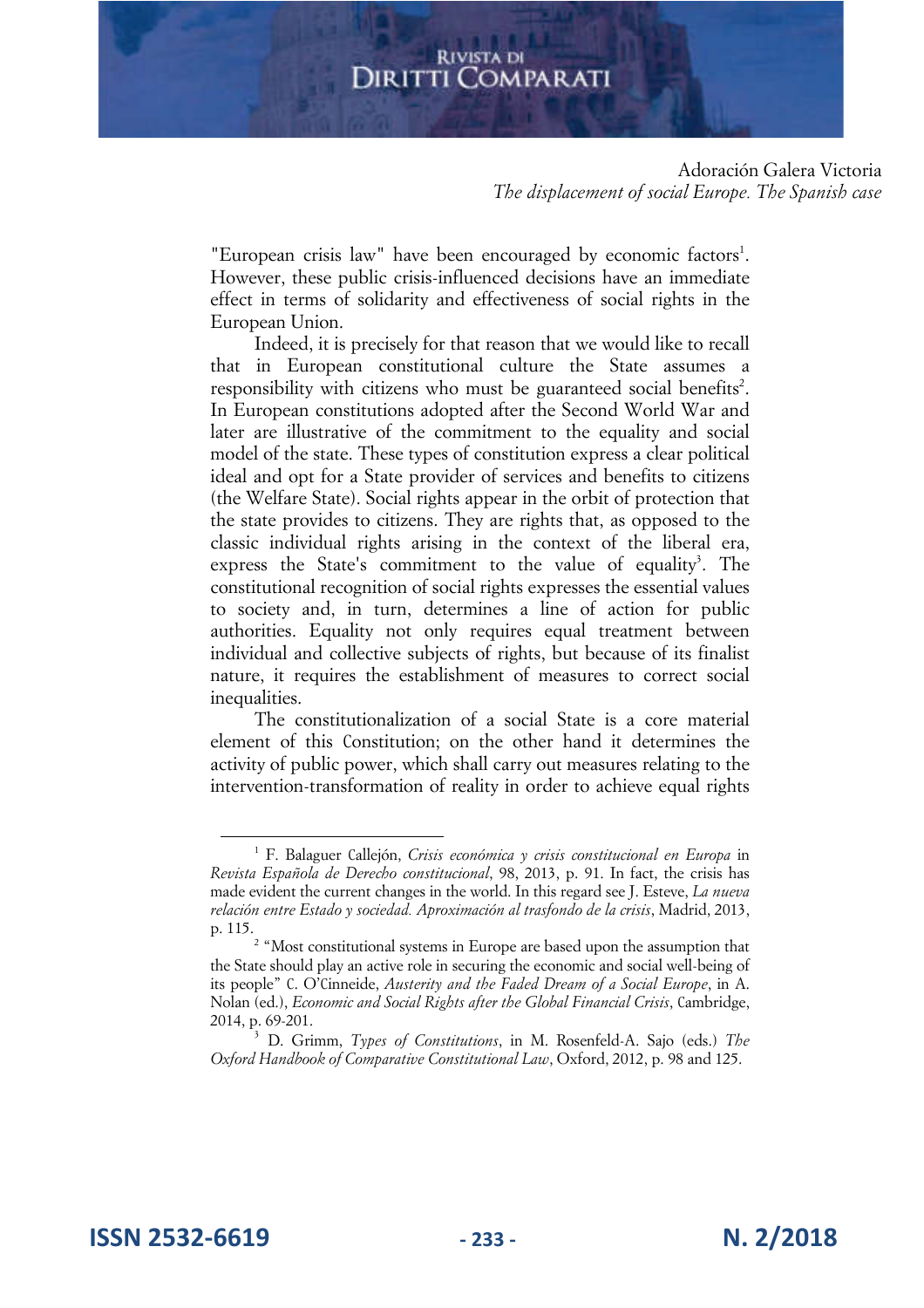#### Adoración Galera Victoria *The displacement of social Europe. The Spanish case*

"European crisis law" have been encouraged by economic factors<sup>1</sup>. However, these public crisis-influenced decisions have an immediate effect in terms of solidarity and effectiveness of social rights in the European Union.

Indeed, it is precisely for that reason that we would like to recall that in European constitutional culture the State assumes a responsibility with citizens who must be guaranteed social benefits<sup>2</sup>. In European constitutions adopted after the Second World War and later are illustrative of the commitment to the equality and social model of the state. These types of constitution express a clear political ideal and opt for a State provider of services and benefits to citizens (the Welfare State). Social rights appear in the orbit of protection that the state provides to citizens. They are rights that, as opposed to the classic individual rights arising in the context of the liberal era, express the State's commitment to the value of equality<sup>3</sup>. The constitutional recognition of social rights expresses the essential values to society and, in turn, determines a line of action for public authorities. Equality not only requires equal treatment between individual and collective subjects of rights, but because of its finalist nature, it requires the establishment of measures to correct social inequalities.

The constitutionalization of a social State is a core material element of this Constitution; on the other hand it determines the activity of public power, which shall carry out measures relating to the intervention-transformation of reality in order to achieve equal rights

**ISSN 2532-6619 - 233 - N. 2/2018**

<sup>1</sup> F. Balaguer Callejón, *Crisis económica y crisis constitucional en Europa* in *Revista Española de Derecho constitucional*, 98, 2013, p. 91. In fact, the crisis has made evident the current changes in the world. In this regard see J. Esteve, *La nueva relación entre Estado y sociedad. Aproximación al trasfondo de la crisis*, Madrid, 2013, p. 115.

<sup>&</sup>lt;sup>2</sup> "Most constitutional systems in Europe are based upon the assumption that the State should play an active role in securing the economic and social well-being of its people" C. O'Cinneide, *Austerity and the Faded Dream of a Social Europe*, in A. Nolan (ed.), *Economic and Social Rights after the Global Financial Crisis*, Cambridge, 2014, p. 69-201.

<sup>3</sup> D. Grimm, *Types of Constitutions*, in M. Rosenfeld-A. Sajo (eds.) *The Oxford Handbook of Comparative Constitutional Law*, Oxford, 2012, p. 98 and 125.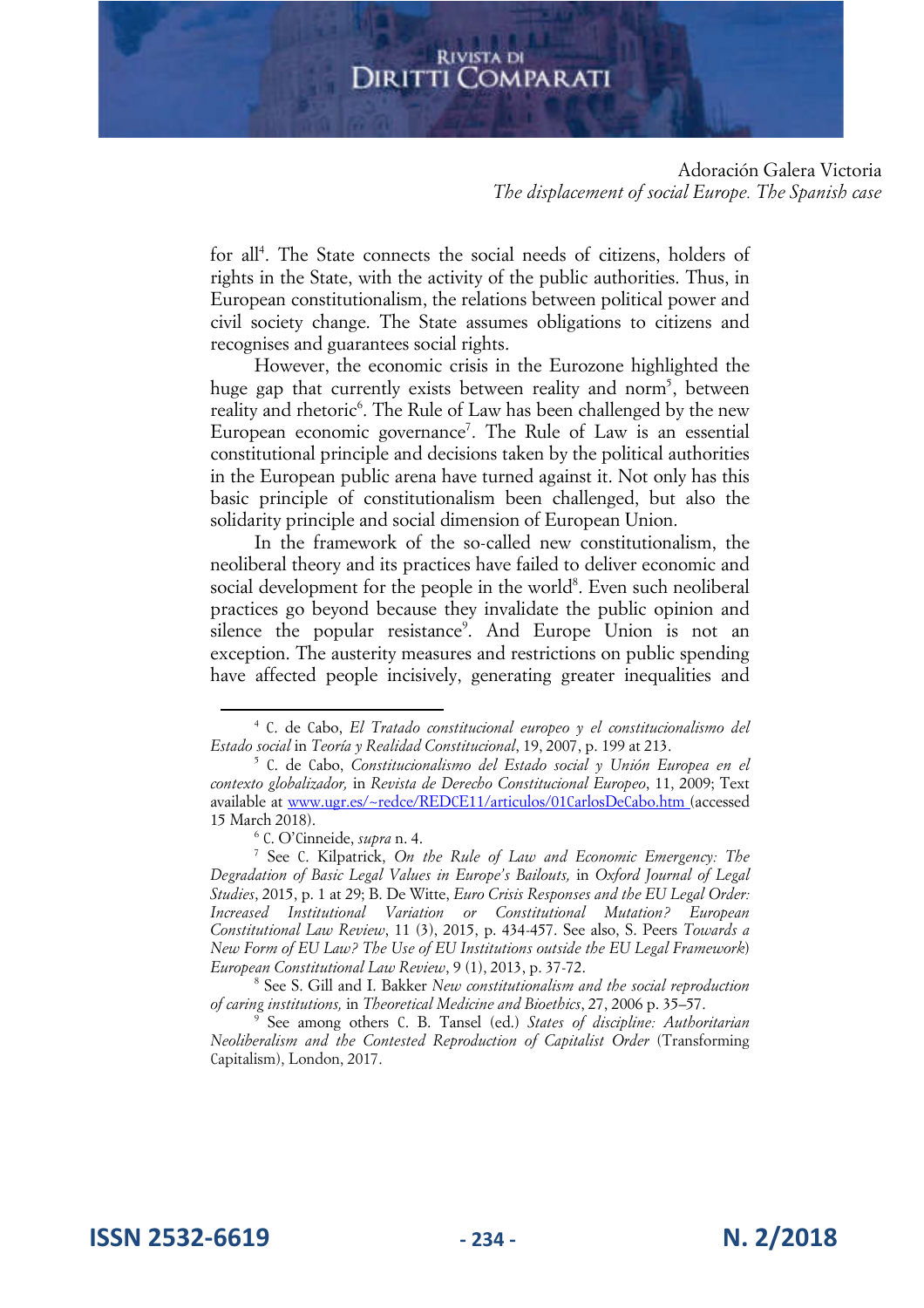Adoración Galera Victoria *The displacement of social Europe. The Spanish case* 

for all<sup>4</sup>. The State connects the social needs of citizens, holders of rights in the State, with the activity of the public authorities. Thus, in European constitutionalism, the relations between political power and civil society change. The State assumes obligations to citizens and recognises and guarantees social rights.

However, the economic crisis in the Eurozone highlighted the huge gap that currently exists between reality and norm<sup>5</sup>, between reality and rhetoric<sup>6</sup>. The Rule of Law has been challenged by the new European economic governance<sup>7</sup>. The Rule of Law is an essential constitutional principle and decisions taken by the political authorities in the European public arena have turned against it. Not only has this basic principle of constitutionalism been challenged, but also the solidarity principle and social dimension of European Union.

In the framework of the so-called new constitutionalism, the neoliberal theory and its practices have failed to deliver economic and social development for the people in the world<sup>8</sup>. Even such neoliberal practices go beyond because they invalidate the public opinion and silence the popular resistance<sup>9</sup>. And Europe Union is not an exception. The austerity measures and restrictions on public spending have affected people incisively, generating greater inequalities and

<sup>4</sup> C. de Cabo, *El Tratado constitucional europeo y el constitucionalismo del Estado social* in *Teoría y Realidad Constitucional*, 19, 2007, p. 199 at 213.

<sup>5</sup> C. de Cabo, *Constitucionalismo del Estado social y Unión Europea en el contexto globalizador,* in *Revista de Derecho Constitucional Europeo*, 11, 2009; Text available at www.ugr.es/~redce/REDCE11/articulos/01CarlosDeCabo.htm (accessed 15 March 2018).

<sup>6</sup> C. O'Cinneide, *supra* n. 4.

<sup>7</sup> See C. Kilpatrick, *On the Rule of Law and Economic Emergency: The Degradation of Basic Legal Values in Europe's Bailouts,* in *Oxford Journal of Legal Studies*, 2015, p. 1 at 29; B. De Witte, *Euro Crisis Responses and the EU Legal Order: Increased Institutional Variation or Constitutional Mutation? European Constitutional Law Review*, 11 (3), 2015, p. 434-457. See also, S. Peers *Towards a New Form of EU Law? The Use of EU Institutions outside the EU Legal Framework*) *European Constitutional Law Review*, 9 (1), 2013, p. 37-72.

<sup>8</sup> See S. Gill and I. Bakker *New constitutionalism and the social reproduction of caring institutions,* in *Theoretical Medicine and Bioethics*, 27, 2006 p. 35–57.

<sup>9</sup> See among others C. B. Tansel (ed.) *States of discipline: Authoritarian Neoliberalism and the Contested Reproduction of Capitalist Order* (Transforming Capitalism), London, 2017.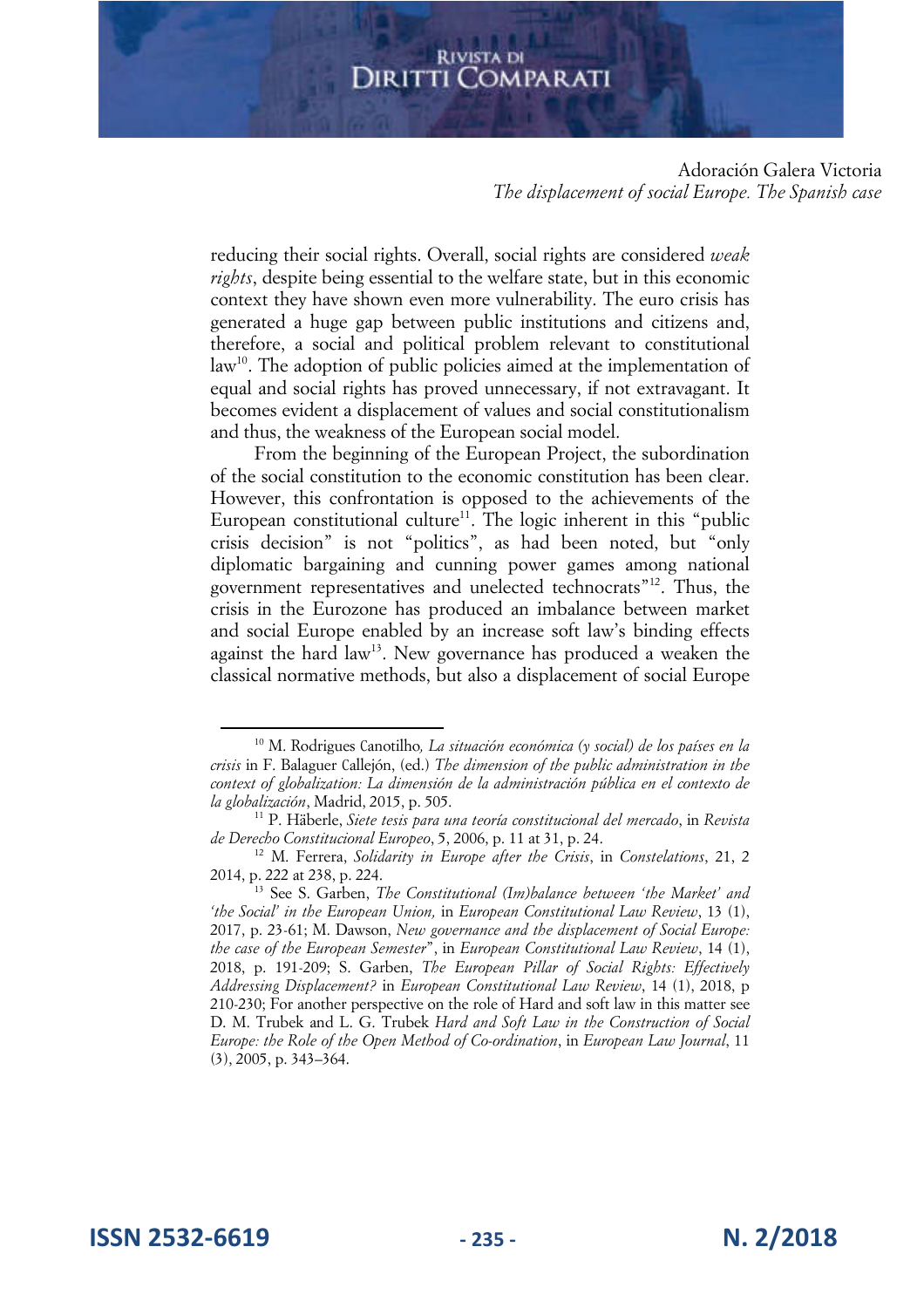Adoración Galera Victoria *The displacement of social Europe. The Spanish case* 

reducing their social rights. Overall, social rights are considered *weak rights*, despite being essential to the welfare state, but in this economic context they have shown even more vulnerability. The euro crisis has generated a huge gap between public institutions and citizens and, therefore, a social and political problem relevant to constitutional law<sup>10</sup>. The adoption of public policies aimed at the implementation of equal and social rights has proved unnecessary, if not extravagant. It becomes evident a displacement of values and social constitutionalism and thus, the weakness of the European social model.

From the beginning of the European Project, the subordination of the social constitution to the economic constitution has been clear. However, this confrontation is opposed to the achievements of the European constitutional culture<sup>11</sup>. The logic inherent in this "public crisis decision" is not "politics", as had been noted, but "only diplomatic bargaining and cunning power games among national government representatives and unelected technocrats"<sup>12</sup>. Thus, the crisis in the Eurozone has produced an imbalance between market and social Europe enabled by an increase soft law's binding effects against the hard law<sup>13</sup>. New governance has produced a weaken the classical normative methods, but also a displacement of social Europe

<sup>1</sup><sup>0</sup> M. Rodrigues Canotilho*, La situación económica (y social) de los países en la crisis* in F. Balaguer Callejón, (ed.) *The dimension of the public administration in the context of globalization: La dimensión de la administración pública en el contexto de la globalización*, Madrid, 2015, p. 505.

<sup>11</sup> P. Häberle, *Siete tesis para una teoría constitucional del mercado*, in *Revista de Derecho Constitucional Europeo*, 5, 2006, p. 11 at 31, p. 24.

<sup>12</sup> M. Ferrera, *Solidarity in Europe after the Crisis*, in *Constelations*, 21, 2 2014, p. 222 at 238, p. 224.

<sup>13</sup> See S. Garben, *The Constitutional (Im)balance between 'the Market' and 'the Social' in the European Union,* in *European Constitutional Law Review*, 13 (1), 2017, p. 23-61; M. Dawson, *New governance and the displacement of Social Europe: the case of the European Semester*", in *European Constitutional Law Review*, 14 (1), 2018, p. 191-209; S. Garben, *The European Pillar of Social Rights: Effectively Addressing Displacement?* in *European Constitutional Law Review*, 14 (1), 2018, p 210-230; For another perspective on the role of Hard and soft law in this matter see D. M. Trubek and L. G. Trubek *Hard and Soft Law in the Construction of Social Europe: the Role of the Open Method of Co-ordination*, in *European Law Journal*, 11 (3), 2005, p. 343–364.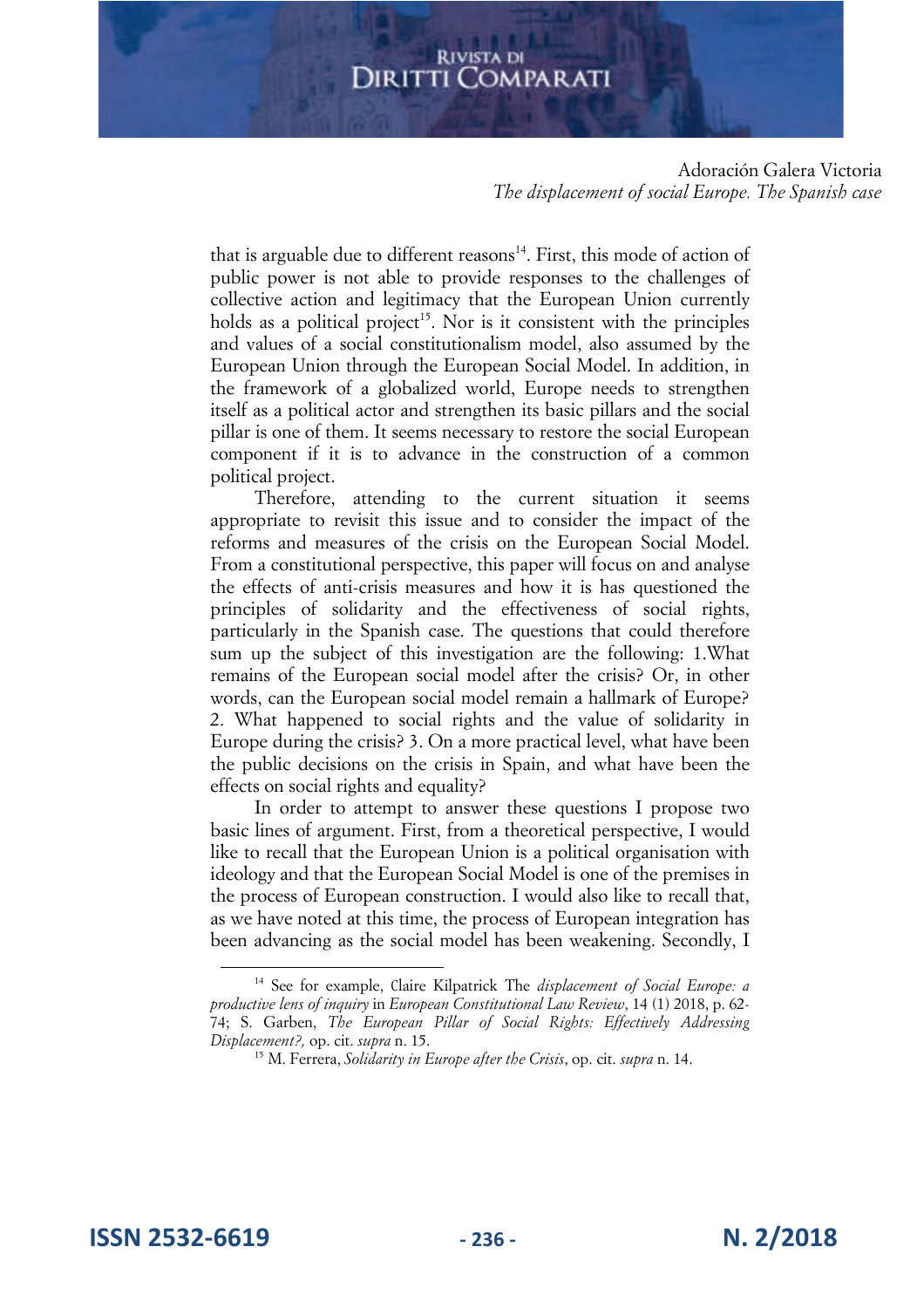Adoración Galera Victoria *The displacement of social Europe. The Spanish case* 

that is arguable due to different reasons $14$ . First, this mode of action of public power is not able to provide responses to the challenges of collective action and legitimacy that the European Union currently holds as a political project<sup>15</sup>. Nor is it consistent with the principles and values of a social constitutionalism model, also assumed by the European Union through the European Social Model. In addition, in the framework of a globalized world, Europe needs to strengthen itself as a political actor and strengthen its basic pillars and the social pillar is one of them. It seems necessary to restore the social European component if it is to advance in the construction of a common political project.

Therefore, attending to the current situation it seems appropriate to revisit this issue and to consider the impact of the reforms and measures of the crisis on the European Social Model. From a constitutional perspective, this paper will focus on and analyse the effects of anti-crisis measures and how it is has questioned the principles of solidarity and the effectiveness of social rights, particularly in the Spanish case. The questions that could therefore sum up the subject of this investigation are the following: 1.What remains of the European social model after the crisis? Or, in other words, can the European social model remain a hallmark of Europe? 2. What happened to social rights and the value of solidarity in Europe during the crisis? 3. On a more practical level, what have been the public decisions on the crisis in Spain, and what have been the effects on social rights and equality?

In order to attempt to answer these questions I propose two basic lines of argument. First, from a theoretical perspective, I would like to recall that the European Union is a political organisation with ideology and that the European Social Model is one of the premises in the process of European construction. I would also like to recall that, as we have noted at this time, the process of European integration has been advancing as the social model has been weakening. Secondly, I

**ISSN 2532-6619 - 236 - N. 2/2018**

<sup>14</sup> See for example, Claire Kilpatrick The *displacement of Social Europe: a productive lens of inquiry* in *European Constitutional Law Review*, 14 (1) 2018, p. 62- 74; S. Garben, *The European Pillar of Social Rights: Effectively Addressing Displacement?,* op. cit. *supra* n. 15.

<sup>15</sup> M. Ferrera, *Solidarity in Europe after the Crisis*, op. cit. *supra* n. 14.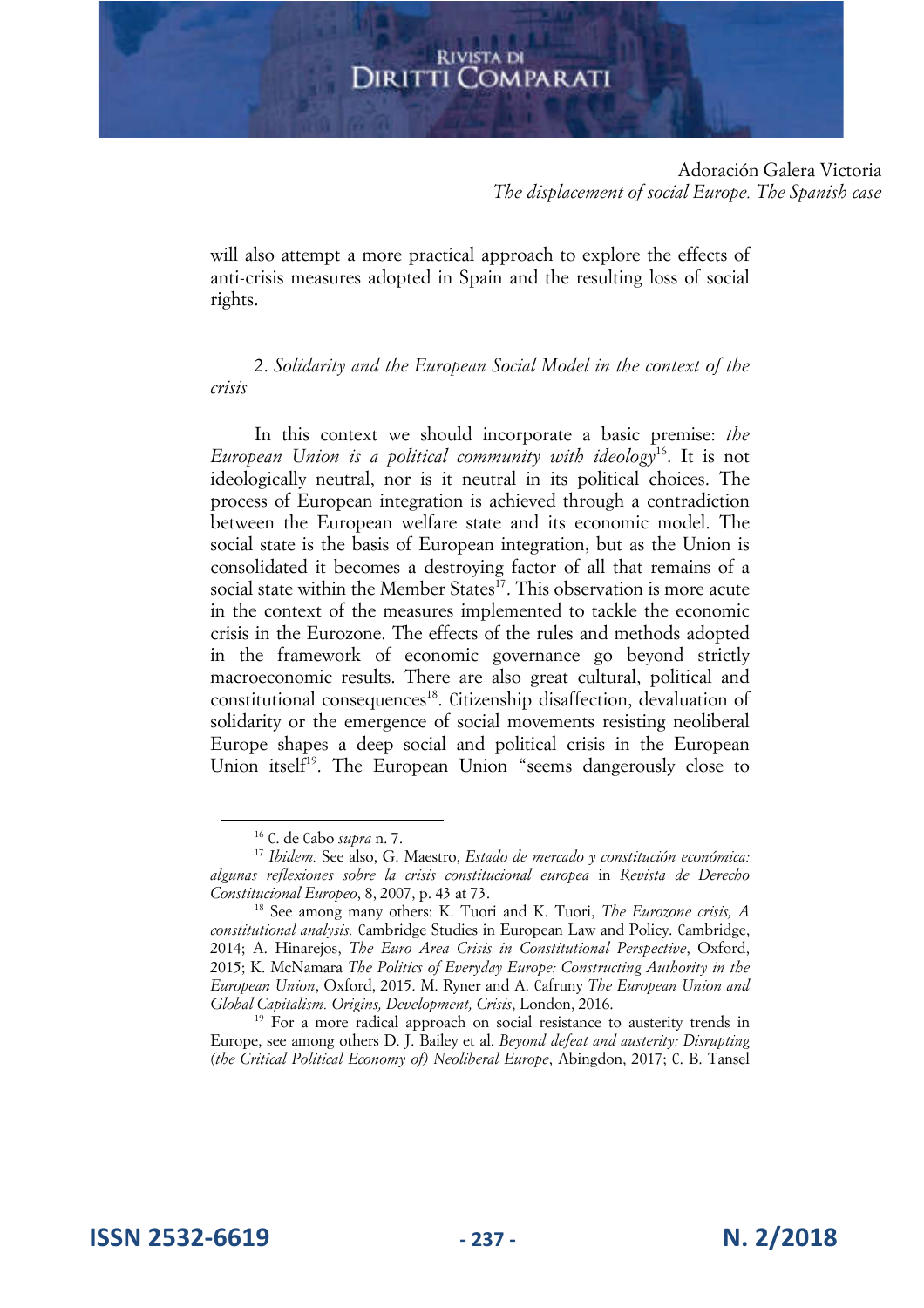Adoración Galera Victoria *The displacement of social Europe. The Spanish case* 

will also attempt a more practical approach to explore the effects of anti-crisis measures adopted in Spain and the resulting loss of social rights.

2. *Solidarity and the European Social Model in the context of the crisis* 

In this context we should incorporate a basic premise: *the European Union is a political community with ideology*<sup>16</sup>. It is not ideologically neutral, nor is it neutral in its political choices. The process of European integration is achieved through a contradiction between the European welfare state and its economic model. The social state is the basis of European integration, but as the Union is consolidated it becomes a destroying factor of all that remains of a social state within the Member States<sup>17</sup>. This observation is more acute in the context of the measures implemented to tackle the economic crisis in the Eurozone. The effects of the rules and methods adopted in the framework of economic governance go beyond strictly macroeconomic results. There are also great cultural, political and constitutional consequences<sup>18</sup>. Citizenship disaffection, devaluation of solidarity or the emergence of social movements resisting neoliberal Europe shapes a deep social and political crisis in the European Union itself<sup>19</sup>. The European Union "seems dangerously close to

<sup>19</sup> For a more radical approach on social resistance to austerity trends in Europe, see among others D. J. Bailey et al. *Beyond defeat and austerity: Disrupting (the Critical Political Economy of) Neoliberal Europe*, Abingdon, 2017; C. B. Tansel

**ISSN 2532-6619 - 237 - N. 2/2018**

<sup>16</sup> C. de Cabo *supra* n. 7.

<sup>17</sup> *Ibidem.* See also, G. Maestro, *Estado de mercado y constitución económica: algunas reflexiones sobre la crisis constitucional europea* in *Revista de Derecho Constitucional Europeo*, 8, 2007, p. 43 at 73.

<sup>18</sup> See among many others: K. Tuori and K. Tuori, *The Eurozone crisis, A constitutional analysis.* Cambridge Studies in European Law and Policy. Cambridge, 2014; A. Hinarejos, *The Euro Area Crisis in Constitutional Perspective*, Oxford, 2015; K. McNamara *The Politics of Everyday Europe: Constructing Authority in the European Union*, Oxford, 2015. M. Ryner and A. Cafruny *The European Union and Global Capitalism. Origins, Development, Crisis*, London, 2016.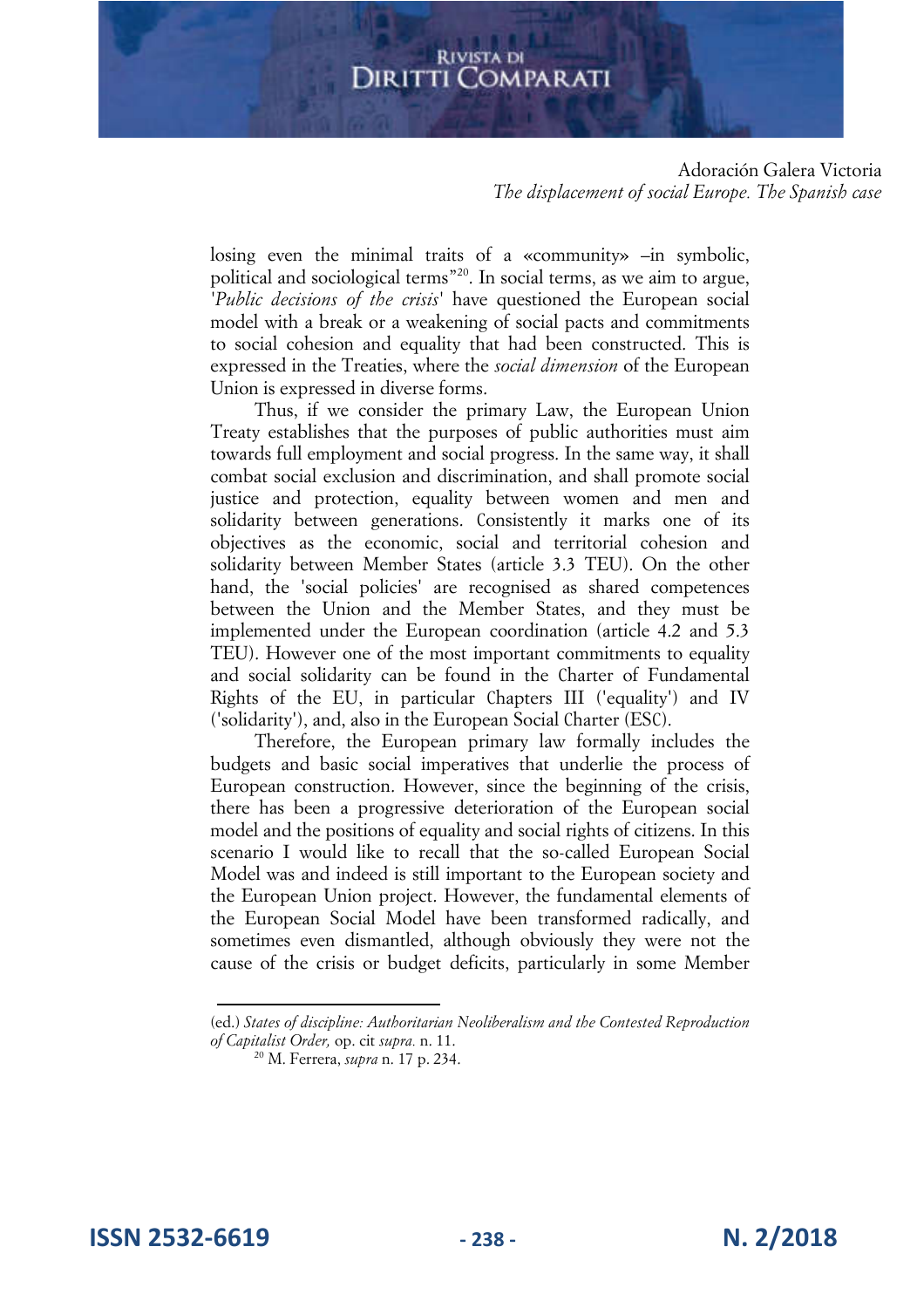#### Adoración Galera Victoria *The displacement of social Europe. The Spanish case*

losing even the minimal traits of a «community» –in symbolic, political and sociological terms<sup>"20</sup>. In social terms, as we aim to argue, *'Public decisions of the crisis'* have questioned the European social model with a break or a weakening of social pacts and commitments to social cohesion and equality that had been constructed. This is expressed in the Treaties, where the *social dimension* of the European Union is expressed in diverse forms.

Thus, if we consider the primary Law, the European Union Treaty establishes that the purposes of public authorities must aim towards full employment and social progress. In the same way, it shall combat social exclusion and discrimination, and shall promote social justice and protection, equality between women and men and solidarity between generations. Consistently it marks one of its objectives as the economic, social and territorial cohesion and solidarity between Member States (article 3.3 TEU). On the other hand, the 'social policies' are recognised as shared competences between the Union and the Member States, and they must be implemented under the European coordination (article 4.2 and 5.3 TEU). However one of the most important commitments to equality and social solidarity can be found in the Charter of Fundamental Rights of the EU, in particular Chapters III ('equality') and IV ('solidarity'), and, also in the European Social Charter (ESC).

Therefore, the European primary law formally includes the budgets and basic social imperatives that underlie the process of European construction. However, since the beginning of the crisis, there has been a progressive deterioration of the European social model and the positions of equality and social rights of citizens. In this scenario I would like to recall that the so-called European Social Model was and indeed is still important to the European society and the European Union project. However, the fundamental elements of the European Social Model have been transformed radically, and sometimes even dismantled, although obviously they were not the cause of the crisis or budget deficits, particularly in some Member

(ed.) *States of discipline: Authoritarian Neoliberalism and the Contested Reproduction of Capitalist Order,* op. cit *supra.* n. 11.

**ISSN 2532-6619 - 238 - N. 2/2018**

<sup>2</sup><sup>0</sup> M. Ferrera, *supra* n. 17 p. 234.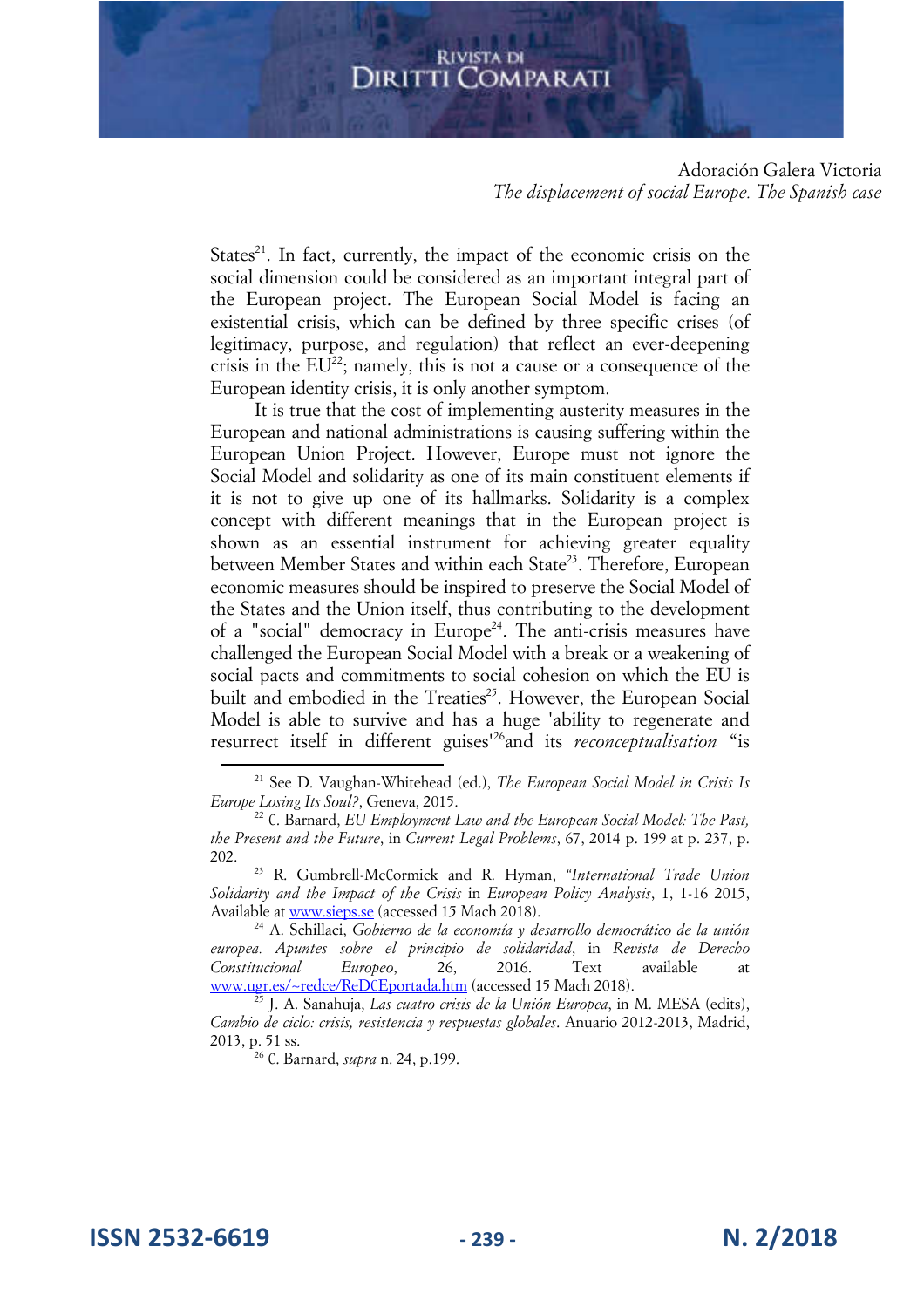Adoración Galera Victoria *The displacement of social Europe. The Spanish case* 

States<sup>21</sup>. In fact, currently, the impact of the economic crisis on the social dimension could be considered as an important integral part of the European project. The European Social Model is facing an existential crisis, which can be defined by three specific crises (of legitimacy, purpose, and regulation) that reflect an ever-deepening crisis in the  $EU^{22}$ ; namely, this is not a cause or a consequence of the European identity crisis, it is only another symptom.

It is true that the cost of implementing austerity measures in the European and national administrations is causing suffering within the European Union Project. However, Europe must not ignore the Social Model and solidarity as one of its main constituent elements if it is not to give up one of its hallmarks. Solidarity is a complex concept with different meanings that in the European project is shown as an essential instrument for achieving greater equality between Member States and within each State<sup>23</sup>. Therefore, European economic measures should be inspired to preserve the Social Model of the States and the Union itself, thus contributing to the development of a "social" democracy in Europe<sup>24</sup>. The anti-crisis measures have challenged the European Social Model with a break or a weakening of social pacts and commitments to social cohesion on which the EU is built and embodied in the Treaties<sup>25</sup>. However, the European Social Model is able to survive and has a huge 'ability to regenerate and resurrect itself in different guises'<sup>26</sup>and its *reconceptualisation* "is

**ISSN 2532-6619 - 239 - N. 2/2018**

<sup>21</sup> See D. Vaughan-Whitehead (ed.), *The European Social Model in Crisis Is Europe Losing Its Soul?*, Geneva, 2015.

<sup>22</sup> C. Barnard, *EU Employment Law and the European Social Model: The Past, the Present and the Future*, in *Current Legal Problems*, 67, 2014 p. 199 at p. 237, p. 202.

<sup>23</sup> R. Gumbrell-McCormick and R. Hyman, *"International Trade Union Solidarity and the Impact of the Crisis* in *European Policy Analysis*, 1, 1-16 2015, Available at www.sieps.se (accessed 15 Mach 2018).

<sup>24</sup> A. Schillaci, *Gobierno de la economía y desarrollo democrático de la unión europea. Apuntes sobre el principio de solidaridad*, in *Revista de Derecho Constitucional Europeo*, 26, 2016. Text available www.ugr.es/~redce/ReDCEportada.htm (accessed 15 Mach 2018).

<sup>25</sup> J. A. Sanahuja, *Las cuatro crisis de la Unión Europea*, in M. MESA (edits), *Cambio de ciclo: crisis, resistencia y respuestas globales*. Anuario 2012-2013, Madrid, 2013, p. 51 ss.

<sup>26</sup> C. Barnard, *supra* n. 24, p.199.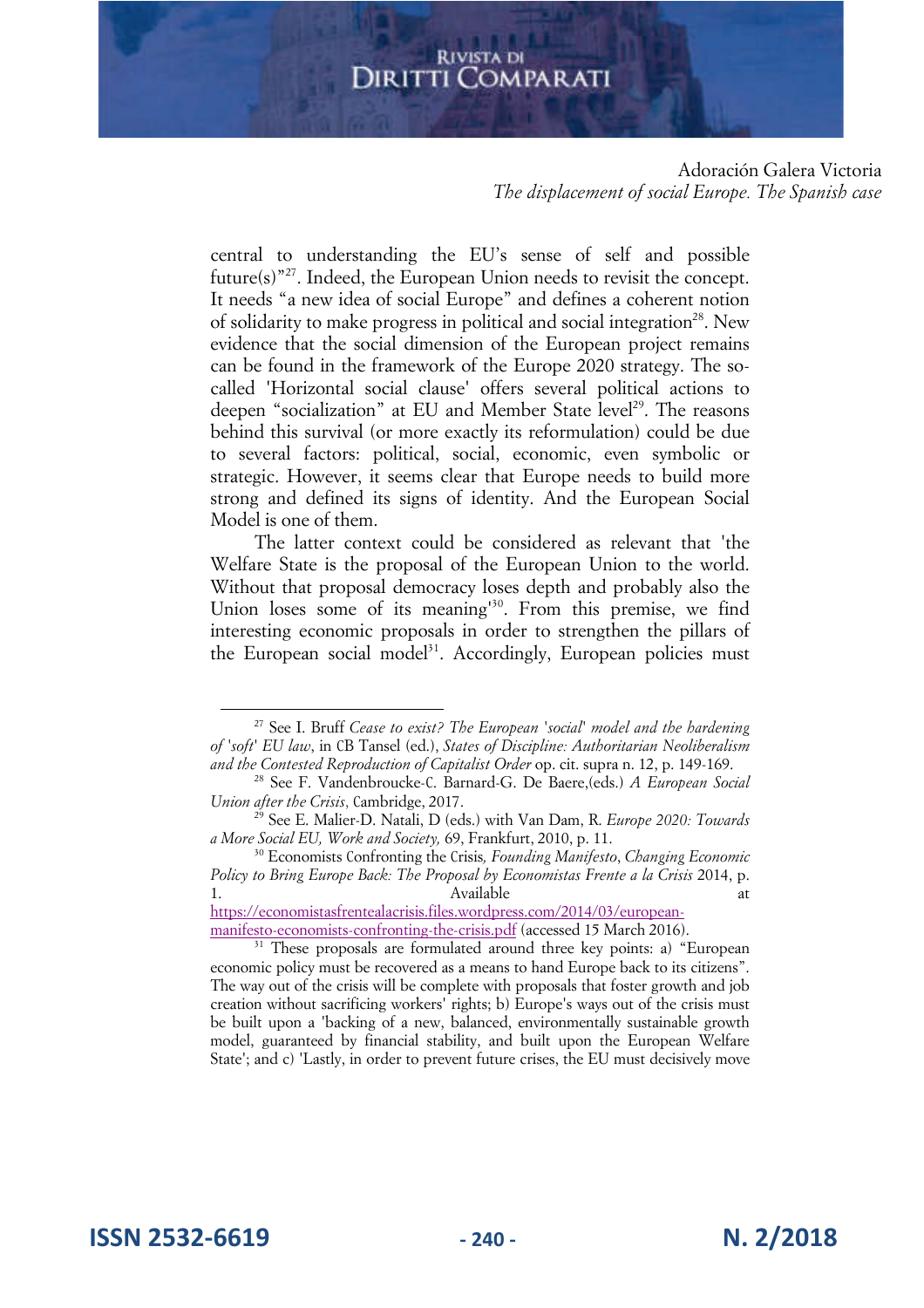Adoración Galera Victoria *The displacement of social Europe. The Spanish case* 

central to understanding the EU's sense of self and possible future(s)"<sup>27</sup>. Indeed, the European Union needs to revisit the concept. It needs "a new idea of social Europe" and defines a coherent notion of solidarity to make progress in political and social integration<sup>28</sup>. New evidence that the social dimension of the European project remains can be found in the framework of the Europe 2020 strategy. The socalled 'Horizontal social clause' offers several political actions to deepen "socialization" at EU and Member State level<sup>29</sup>. The reasons behind this survival (or more exactly its reformulation) could be due to several factors: political, social, economic, even symbolic or strategic. However, it seems clear that Europe needs to build more strong and defined its signs of identity. And the European Social Model is one of them.

The latter context could be considered as relevant that 'the Welfare State is the proposal of the European Union to the world. Without that proposal democracy loses depth and probably also the Union loses some of its meaning<sup>130</sup>. From this premise, we find interesting economic proposals in order to strengthen the pillars of the European social model<sup>31</sup>. Accordingly, European policies must

https://economistasfrentealacrisis.files.wordpress.com/2014/03/europeanmanifesto-economists-confronting-the-crisis.pdf (accessed 15 March 2016).

**ISSN 2532-6619 - 240 - N. 2/2018**

<sup>27</sup> See I. Bruff *Cease to exist? The European 'social' model and the hardening of 'soft' EU law*, in CB Tansel (ed.), *States of Discipline: Authoritarian Neoliberalism and the Contested Reproduction of Capitalist Order* op. cit. supra n. 12, p. 149-169.

<sup>28</sup> See F. Vandenbroucke-C. Barnard-G. De Baere,(eds.) *A European Social Union after the Crisis*, Cambridge, 2017.

<sup>29</sup> See E. Malier-D. Natali, D (eds.) with Van Dam, R. *Europe 2020: Towards a More Social EU, Work and Society,* 69, Frankfurt, 2010, p. 11.

<sup>3</sup><sup>0</sup> Economists Confronting the Crisis*, Founding Manifesto*, *Changing Economic Policy to Bring Europe Back: The Proposal by Economistas Frente a la Crisis* 2014, p. 1. Available at the Available at the state at the state at the state at  $\alpha$ 

<sup>&</sup>lt;sup>31</sup> These proposals are formulated around three key points: a) "European economic policy must be recovered as a means to hand Europe back to its citizens". The way out of the crisis will be complete with proposals that foster growth and job creation without sacrificing workers' rights; b) Europe's ways out of the crisis must be built upon a 'backing of a new, balanced, environmentally sustainable growth model, guaranteed by financial stability, and built upon the European Welfare State'; and c) 'Lastly, in order to prevent future crises, the EU must decisively move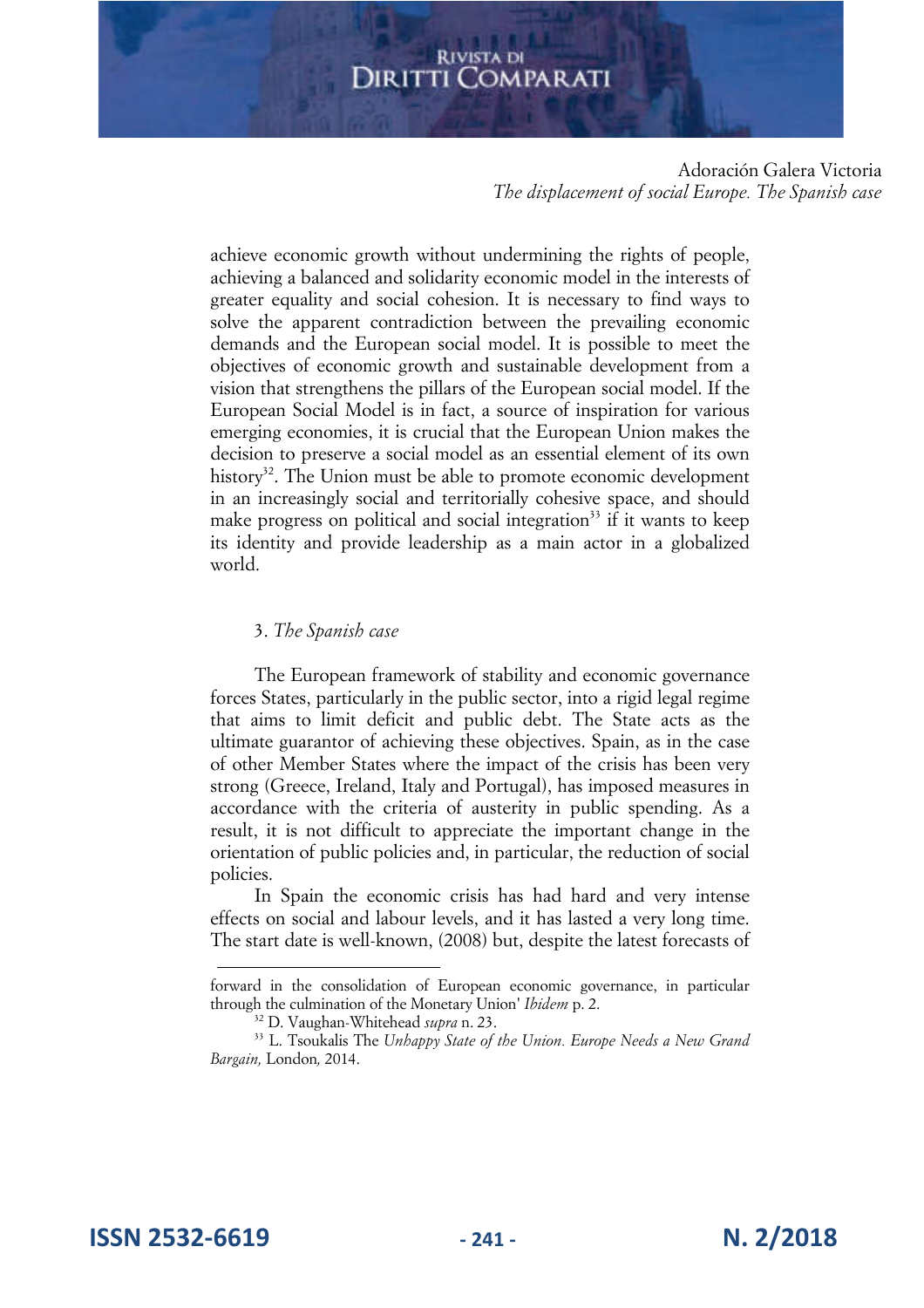Adoración Galera Victoria *The displacement of social Europe. The Spanish case* 

achieve economic growth without undermining the rights of people, achieving a balanced and solidarity economic model in the interests of greater equality and social cohesion. It is necessary to find ways to solve the apparent contradiction between the prevailing economic demands and the European social model. It is possible to meet the objectives of economic growth and sustainable development from a vision that strengthens the pillars of the European social model. If the European Social Model is in fact, a source of inspiration for various emerging economies, it is crucial that the European Union makes the decision to preserve a social model as an essential element of its own history<sup>32</sup>. The Union must be able to promote economic development in an increasingly social and territorially cohesive space, and should make progress on political and social integration<sup>33</sup> if it wants to keep its identity and provide leadership as a main actor in a globalized world.

#### 3. *The Spanish case*

The European framework of stability and economic governance forces States, particularly in the public sector, into a rigid legal regime that aims to limit deficit and public debt. The State acts as the ultimate guarantor of achieving these objectives. Spain, as in the case of other Member States where the impact of the crisis has been very strong (Greece, Ireland, Italy and Portugal), has imposed measures in accordance with the criteria of austerity in public spending. As a result, it is not difficult to appreciate the important change in the orientation of public policies and, in particular, the reduction of social policies.

In Spain the economic crisis has had hard and very intense effects on social and labour levels, and it has lasted a very long time. The start date is well-known, (2008) but, despite the latest forecasts of

forward in the consolidation of European economic governance, in particular through the culmination of the Monetary Union' *Ibidem* p. 2.

<sup>32</sup> D. Vaughan-Whitehead *supra* n. 23.

<sup>33</sup> L. Tsoukalis The *Unhappy State of the Union. Europe Needs a New Grand Bargain,* London*,* 2014.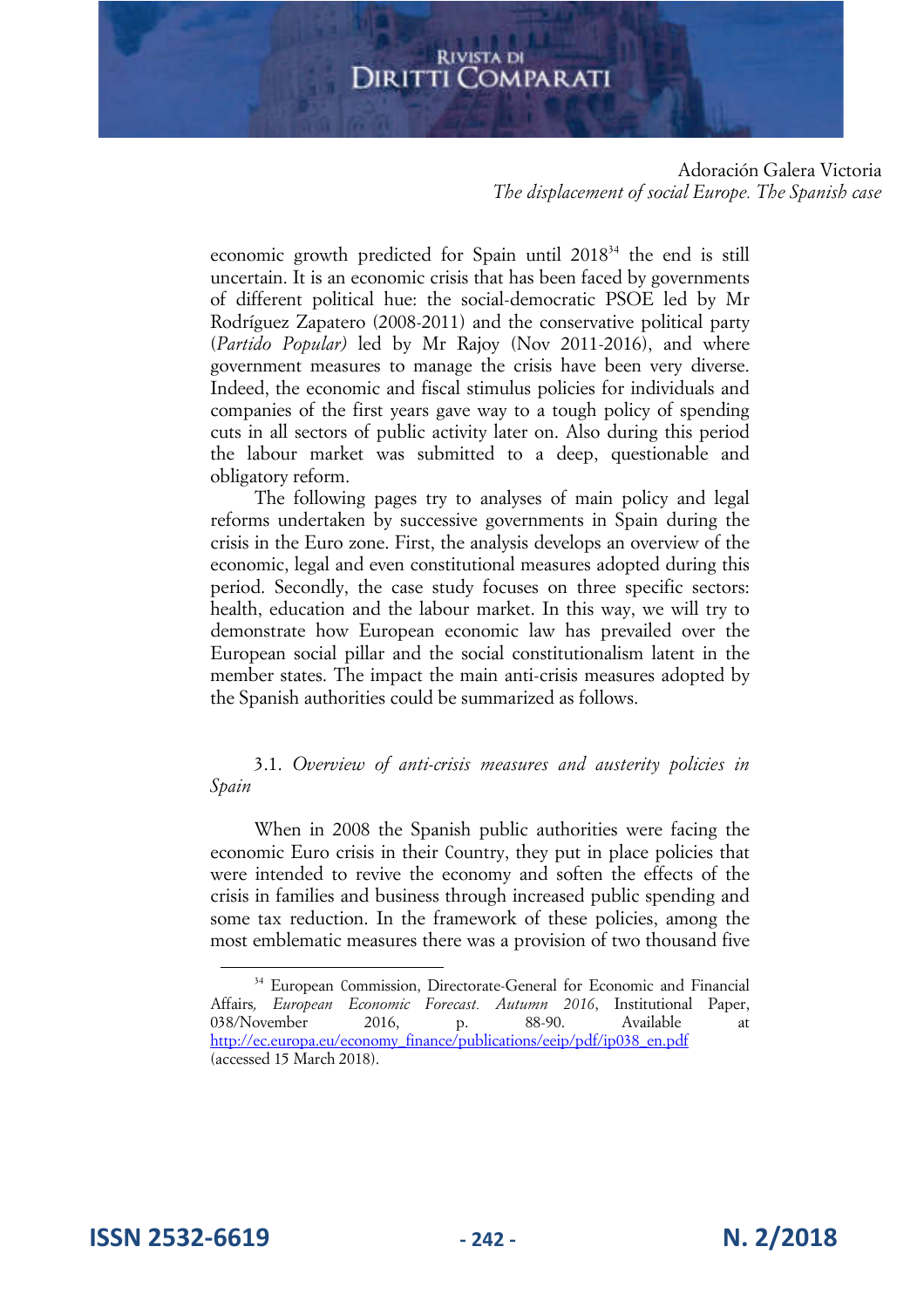Adoración Galera Victoria *The displacement of social Europe. The Spanish case* 

economic growth predicted for Spain until 2018<sup>34</sup> the end is still uncertain. It is an economic crisis that has been faced by governments of different political hue: the social-democratic PSOE led by Mr Rodríguez Zapatero (2008-2011) and the conservative political party (*Partido Popular)* led by Mr Rajoy (Nov 2011-2016), and where government measures to manage the crisis have been very diverse. Indeed, the economic and fiscal stimulus policies for individuals and companies of the first years gave way to a tough policy of spending cuts in all sectors of public activity later on. Also during this period the labour market was submitted to a deep, questionable and obligatory reform.

The following pages try to analyses of main policy and legal reforms undertaken by successive governments in Spain during the crisis in the Euro zone. First, the analysis develops an overview of the economic, legal and even constitutional measures adopted during this period. Secondly, the case study focuses on three specific sectors: health, education and the labour market. In this way, we will try to demonstrate how European economic law has prevailed over the European social pillar and the social constitutionalism latent in the member states. The impact the main anti-crisis measures adopted by the Spanish authorities could be summarized as follows.

3.1. *Overview of anti-crisis measures and austerity policies in Spain*

When in 2008 the Spanish public authorities were facing the economic Euro crisis in their Country, they put in place policies that were intended to revive the economy and soften the effects of the crisis in families and business through increased public spending and some tax reduction. In the framework of these policies, among the most emblematic measures there was a provision of two thousand five

**ISSN 2532-6619 - 242 - N. 2/2018**

<sup>&</sup>lt;sup>34</sup> European Commission, Directorate-General for Economic and Financial Affairs*, European Economic Forecast. Autumn 2016*, Institutional Paper, 038/November 2016, p. 88-90. Available at http://ec.europa.eu/economy\_finance/publications/eeip/pdf/ip038\_en.pdf (accessed 15 March 2018).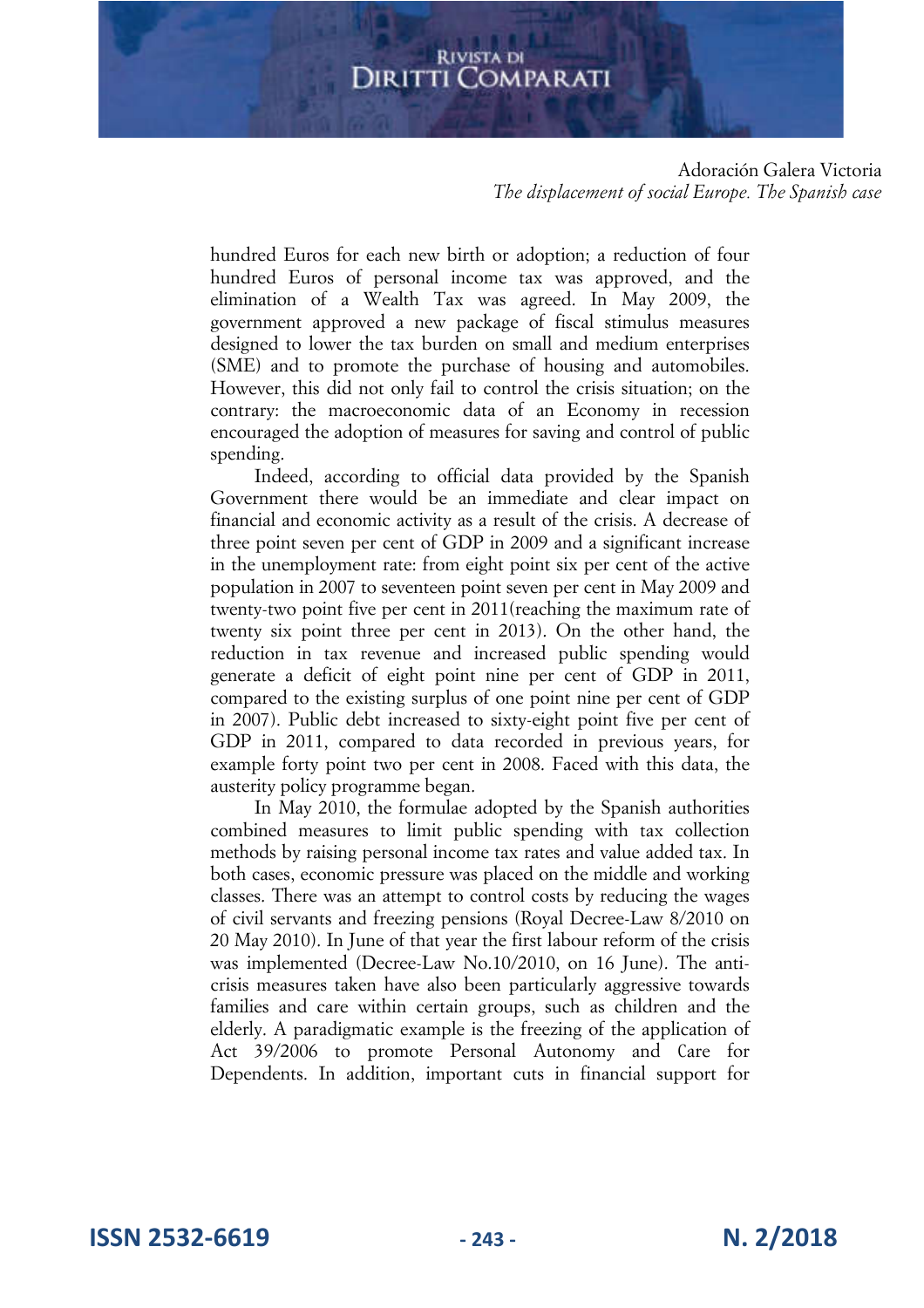Adoración Galera Victoria *The displacement of social Europe. The Spanish case* 

hundred Euros for each new birth or adoption; a reduction of four hundred Euros of personal income tax was approved, and the elimination of a Wealth Tax was agreed. In May 2009, the government approved a new package of fiscal stimulus measures designed to lower the tax burden on small and medium enterprises (SME) and to promote the purchase of housing and automobiles. However, this did not only fail to control the crisis situation; on the contrary: the macroeconomic data of an Economy in recession encouraged the adoption of measures for saving and control of public spending.

Indeed, according to official data provided by the Spanish Government there would be an immediate and clear impact on financial and economic activity as a result of the crisis. A decrease of three point seven per cent of GDP in 2009 and a significant increase in the unemployment rate: from eight point six per cent of the active population in 2007 to seventeen point seven per cent in May 2009 and twenty-two point five per cent in 2011(reaching the maximum rate of twenty six point three per cent in 2013). On the other hand, the reduction in tax revenue and increased public spending would generate a deficit of eight point nine per cent of GDP in 2011, compared to the existing surplus of one point nine per cent of GDP in 2007). Public debt increased to sixty-eight point five per cent of GDP in 2011, compared to data recorded in previous years, for example forty point two per cent in 2008. Faced with this data, the austerity policy programme began.

In May 2010, the formulae adopted by the Spanish authorities combined measures to limit public spending with tax collection methods by raising personal income tax rates and value added tax. In both cases, economic pressure was placed on the middle and working classes. There was an attempt to control costs by reducing the wages of civil servants and freezing pensions (Royal Decree-Law 8/2010 on 20 May 2010). In June of that year the first labour reform of the crisis was implemented (Decree-Law No.10/2010, on 16 June). The anticrisis measures taken have also been particularly aggressive towards families and care within certain groups, such as children and the elderly. A paradigmatic example is the freezing of the application of Act 39/2006 to promote Personal Autonomy and Care for Dependents. In addition, important cuts in financial support for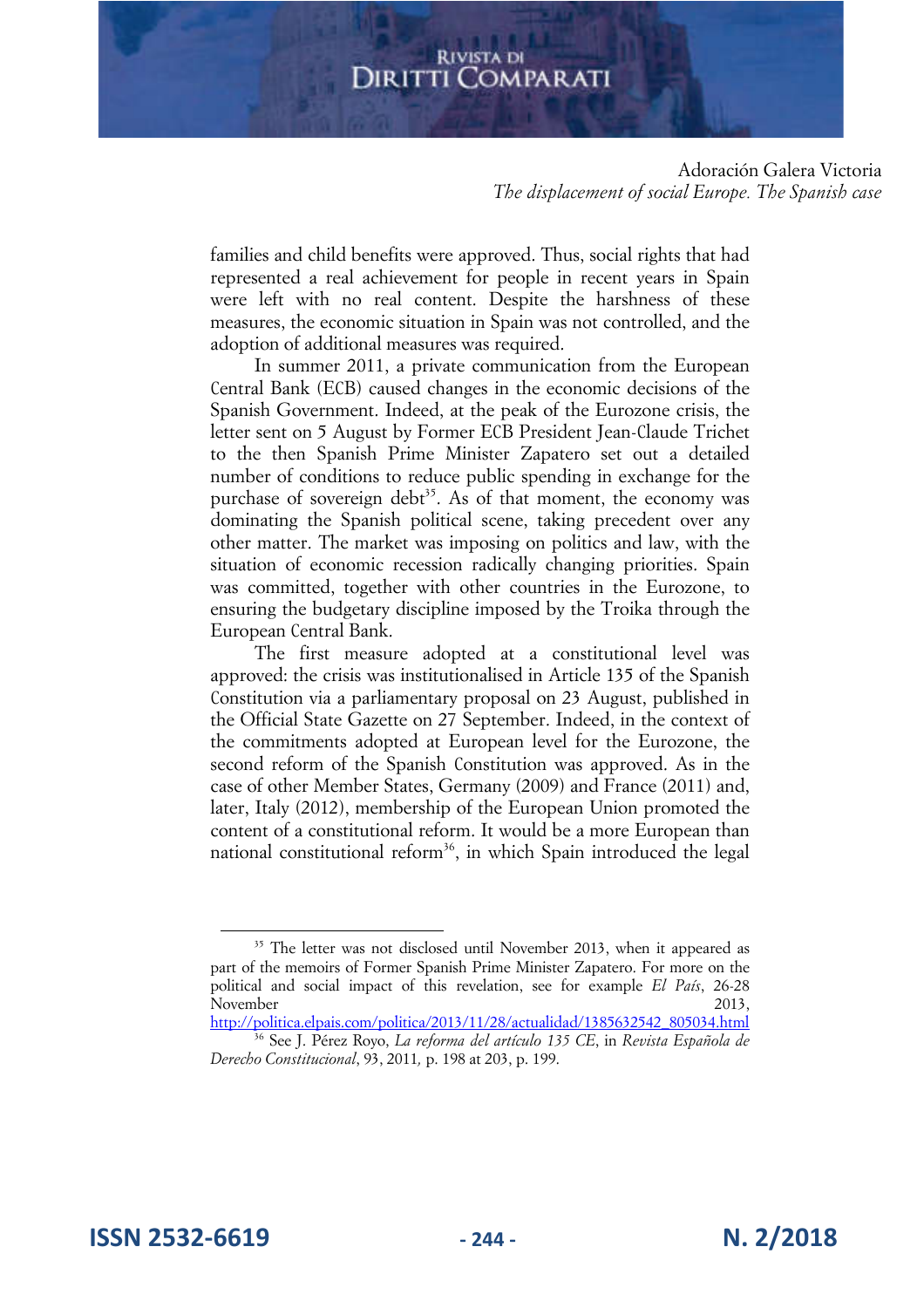Adoración Galera Victoria *The displacement of social Europe. The Spanish case* 

families and child benefits were approved. Thus, social rights that had represented a real achievement for people in recent years in Spain were left with no real content. Despite the harshness of these measures, the economic situation in Spain was not controlled, and the adoption of additional measures was required.

In summer 2011, a private communication from the European Central Bank (ECB) caused changes in the economic decisions of the Spanish Government. Indeed, at the peak of the Eurozone crisis, the letter sent on 5 August by Former ECB President Jean-Claude Trichet to the then Spanish Prime Minister Zapatero set out a detailed number of conditions to reduce public spending in exchange for the purchase of sovereign debt<sup>35</sup>. As of that moment, the economy was dominating the Spanish political scene, taking precedent over any other matter. The market was imposing on politics and law, with the situation of economic recession radically changing priorities. Spain was committed, together with other countries in the Eurozone, to ensuring the budgetary discipline imposed by the Troika through the European Central Bank.

The first measure adopted at a constitutional level was approved: the crisis was institutionalised in Article 135 of the Spanish Constitution via a parliamentary proposal on 23 August, published in the Official State Gazette on 27 September. Indeed, in the context of the commitments adopted at European level for the Eurozone, the second reform of the Spanish Constitution was approved. As in the case of other Member States, Germany (2009) and France (2011) and, later, Italy (2012), membership of the European Union promoted the content of a constitutional reform. It would be a more European than national constitutional reform<sup>36</sup>, in which Spain introduced the legal

http://politica.elpais.com/politica/2013/11/28/actualidad/1385632542\_805034.html <sup>36</sup> See J. Pérez Royo, *La reforma del artículo 135 CE*, in *Revista Española de Derecho Constitucional*, 93, 2011*,* p. 198 at 203, p. 199.

**ISSN 2532-6619 - 244 - N. 2/2018**

<sup>&</sup>lt;sup>35</sup> The letter was not disclosed until November 2013, when it appeared as part of the memoirs of Former Spanish Prime Minister Zapatero. For more on the political and social impact of this revelation, see for example *El País*, 26-28 November 2013,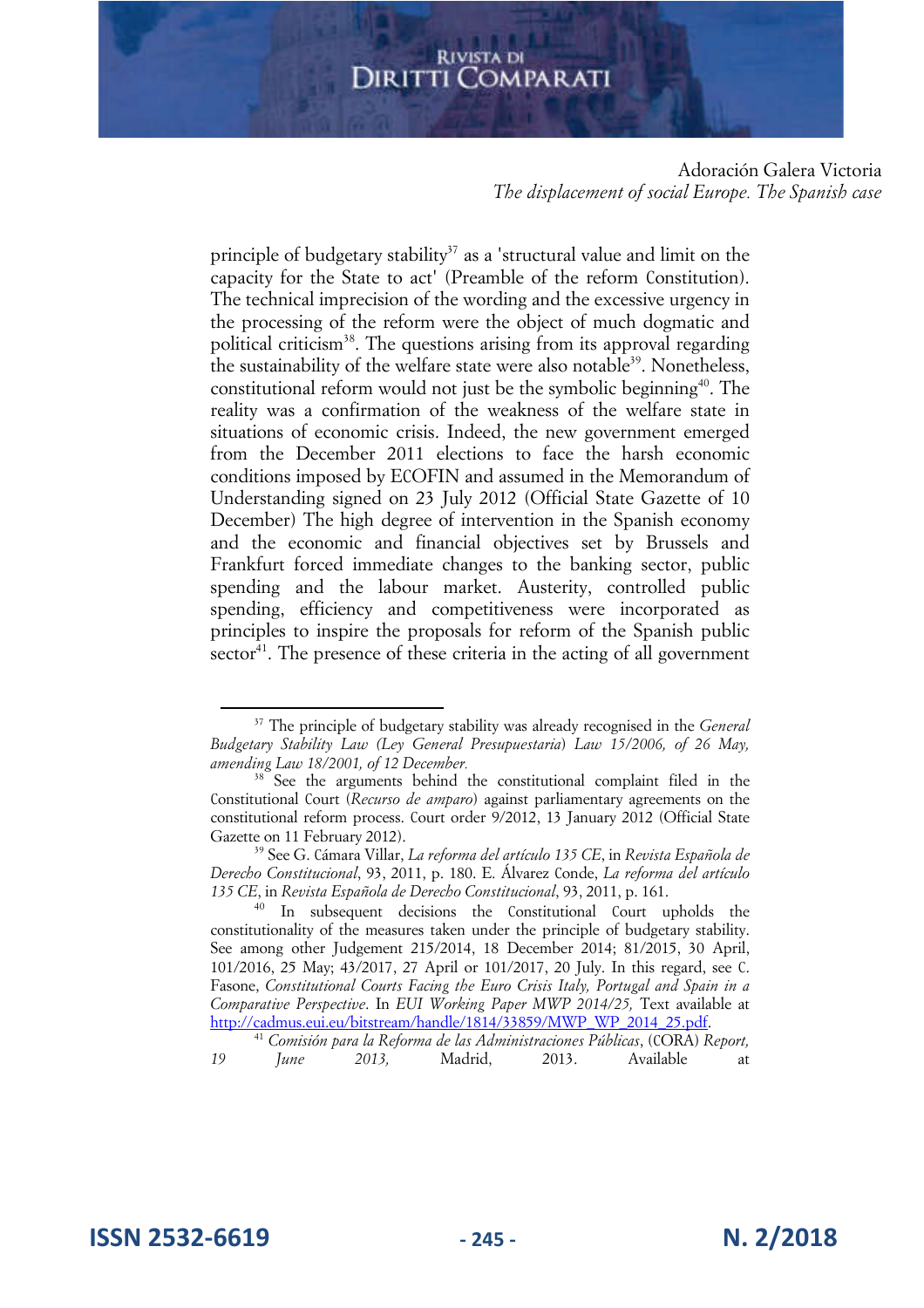Adoración Galera Victoria *The displacement of social Europe. The Spanish case* 

principle of budgetary stability<sup>37</sup> as a 'structural value and limit on the capacity for the State to act' (Preamble of the reform Constitution). The technical imprecision of the wording and the excessive urgency in the processing of the reform were the object of much dogmatic and political criticism<sup>38</sup>. The questions arising from its approval regarding the sustainability of the welfare state were also notable<sup>39</sup>. Nonetheless, constitutional reform would not just be the symbolic beginning<sup>40</sup>. The reality was a confirmation of the weakness of the welfare state in situations of economic crisis. Indeed, the new government emerged from the December 2011 elections to face the harsh economic conditions imposed by ECOFIN and assumed in the Memorandum of Understanding signed on 23 July 2012 (Official State Gazette of 10 December) The high degree of intervention in the Spanish economy and the economic and financial objectives set by Brussels and Frankfurt forced immediate changes to the banking sector, public spending and the labour market. Austerity, controlled public spending, efficiency and competitiveness were incorporated as principles to inspire the proposals for reform of the Spanish public  $sector<sup>41</sup>$ . The presence of these criteria in the acting of all government

<sup>37</sup> The principle of budgetary stability was already recognised in the *General Budgetary Stability Law (Ley General Presupuestaria*) *Law 15/2006, of 26 May, amending Law 18/2001, of 12 December.*

<sup>&</sup>lt;sup>38</sup> See the arguments behind the constitutional complaint filed in the Constitutional Court (*Recurso de amparo*) against parliamentary agreements on the constitutional reform process. Court order 9/2012, 13 January 2012 (Official State Gazette on 11 February 2012).

<sup>39</sup> See G. Cámara Villar, *La reforma del artículo 135 CE*, in *Revista Española de Derecho Constitucional*, 93, 2011, p. 180. E. Álvarez Conde, *La reforma del artículo 135 CE*, in *Revista Española de Derecho Constitucional*, 93, 2011, p. 161.

<sup>4</sup>0 In subsequent decisions the Constitutional Court upholds the constitutionality of the measures taken under the principle of budgetary stability. See among other Judgement 215/2014, 18 December 2014; 81/2015, 30 April, 101/2016, 25 May; 43/2017, 27 April or 101/2017, 20 July. In this regard, see C. Fasone, *Constitutional Courts Facing the Euro Crisis Italy, Portugal and Spain in a Comparative Perspective*. In *EUI Working Paper MWP 2014/25,* Text available at http://cadmus.eui.eu/bitstream/handle/1814/33859/MWP\_WP\_2014\_25.pdf.

<sup>41</sup> *Comisión para la Reforma de las Administraciones Públicas*, (CORA) *Report, 19 June 2013,* Madrid, 2013. Available at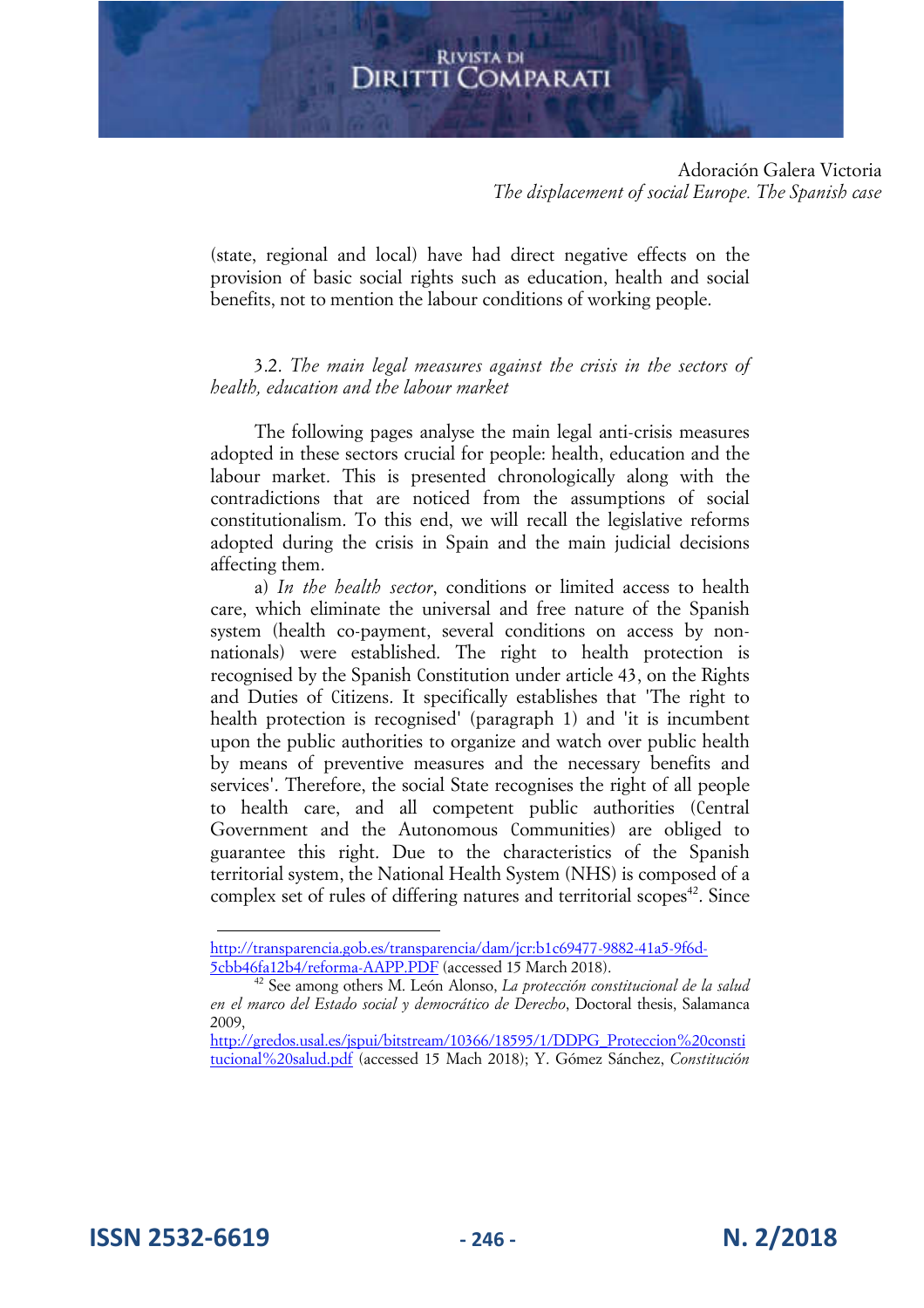Adoración Galera Victoria *The displacement of social Europe. The Spanish case* 

(state, regional and local) have had direct negative effects on the provision of basic social rights such as education, health and social benefits, not to mention the labour conditions of working people.

3.2. *The main legal measures against the crisis in the sectors of health, education and the labour market* 

The following pages analyse the main legal anti-crisis measures adopted in these sectors crucial for people: health, education and the labour market. This is presented chronologically along with the contradictions that are noticed from the assumptions of social constitutionalism. To this end, we will recall the legislative reforms adopted during the crisis in Spain and the main judicial decisions affecting them.

a) *In the health sector*, conditions or limited access to health care, which eliminate the universal and free nature of the Spanish system (health co-payment, several conditions on access by nonnationals) were established. The right to health protection is recognised by the Spanish Constitution under article 43, on the Rights and Duties of Citizens. It specifically establishes that 'The right to health protection is recognised' (paragraph 1) and 'it is incumbent upon the public authorities to organize and watch over public health by means of preventive measures and the necessary benefits and services'. Therefore, the social State recognises the right of all people to health care, and all competent public authorities (Central Government and the Autonomous Communities) are obliged to guarantee this right. Due to the characteristics of the Spanish territorial system, the National Health System (NHS) is composed of a complex set of rules of differing natures and territorial scopes<sup>42</sup>. Since

http://transparencia.gob.es/transparencia/dam/jcr:b1c69477-9882-41a5-9f6d-5cbb46fa12b4/reforma-AAPP.PDF (accessed 15 March 2018).

<sup>42</sup> See among others M. León Alonso, *La protección constitucional de la salud en el marco del Estado social y democrático de Derecho*, Doctoral thesis, Salamanca 2009,

http://gredos.usal.es/jspui/bitstream/10366/18595/1/DDPG\_Proteccion%20consti tucional%20salud.pdf (accessed 15 Mach 2018); Y. Gómez Sánchez, *Constitución*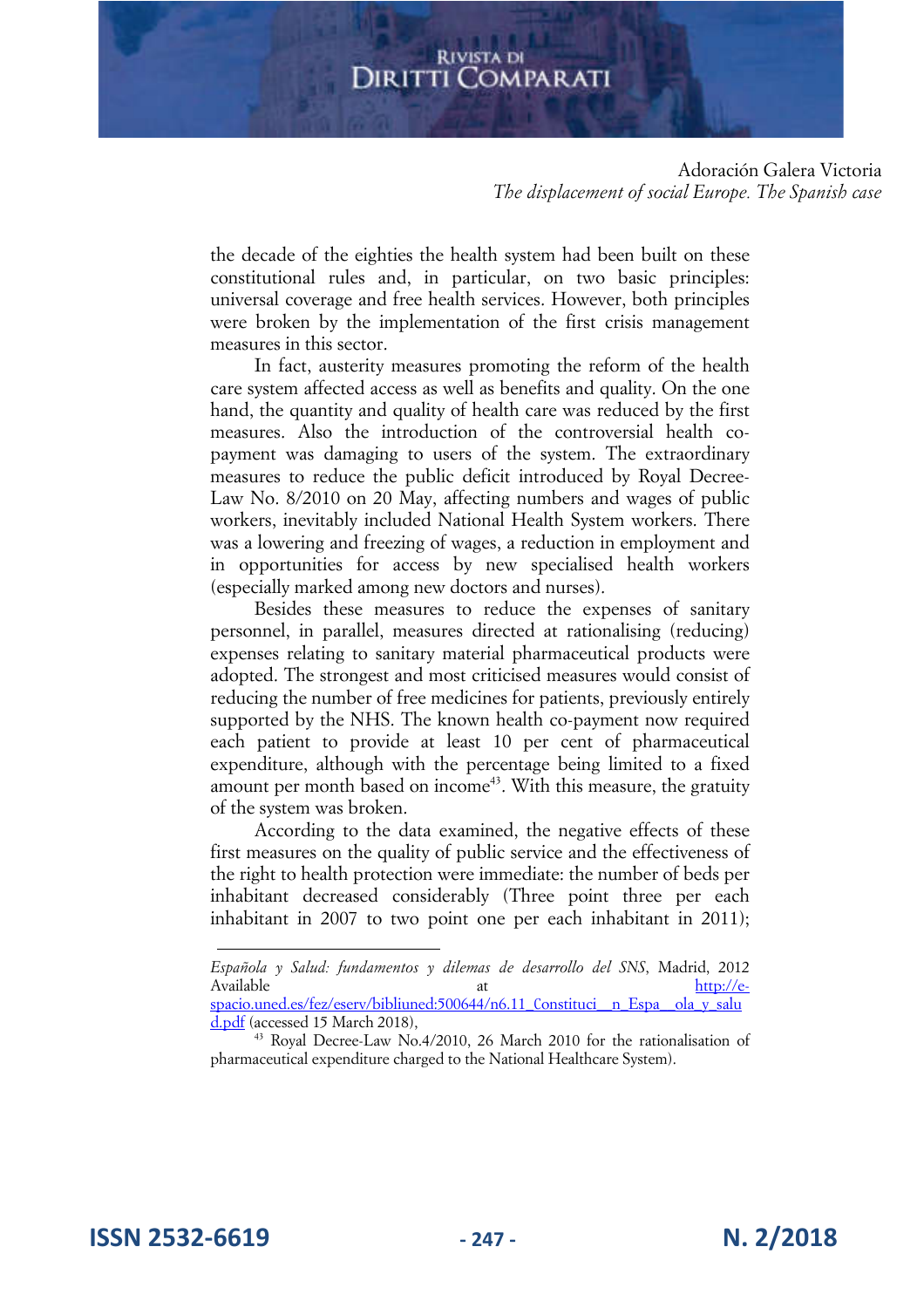Adoración Galera Victoria *The displacement of social Europe. The Spanish case* 

the decade of the eighties the health system had been built on these constitutional rules and, in particular, on two basic principles: universal coverage and free health services. However, both principles were broken by the implementation of the first crisis management measures in this sector.

In fact, austerity measures promoting the reform of the health care system affected access as well as benefits and quality. On the one hand, the quantity and quality of health care was reduced by the first measures. Also the introduction of the controversial health copayment was damaging to users of the system. The extraordinary measures to reduce the public deficit introduced by Royal Decree-Law No. 8/2010 on 20 May, affecting numbers and wages of public workers, inevitably included National Health System workers. There was a lowering and freezing of wages, a reduction in employment and in opportunities for access by new specialised health workers (especially marked among new doctors and nurses).

Besides these measures to reduce the expenses of sanitary personnel, in parallel, measures directed at rationalising (reducing) expenses relating to sanitary material pharmaceutical products were adopted. The strongest and most criticised measures would consist of reducing the number of free medicines for patients, previously entirely supported by the NHS. The known health co-payment now required each patient to provide at least 10 per cent of pharmaceutical expenditure, although with the percentage being limited to a fixed amount per month based on income<sup>43</sup>. With this measure, the gratuity of the system was broken.

According to the data examined, the negative effects of these first measures on the quality of public service and the effectiveness of the right to health protection were immediate: the number of beds per inhabitant decreased considerably (Three point three per each inhabitant in 2007 to two point one per each inhabitant in 2011);

*Española y Salud: fundamentos y dilemas de desarrollo del SNS*, Madrid, 2012 Available at  $\frac{\text{http://e-}{}$ spacio.uned.es/fez/eserv/bibliuned:500644/n6.11 Constituci\_n\_Espa\_\_ola\_y\_salu d.pdf (accessed 15 March 2018),

<sup>43</sup> Royal Decree-Law No.4/2010, 26 March 2010 for the rationalisation of pharmaceutical expenditure charged to the National Healthcare System).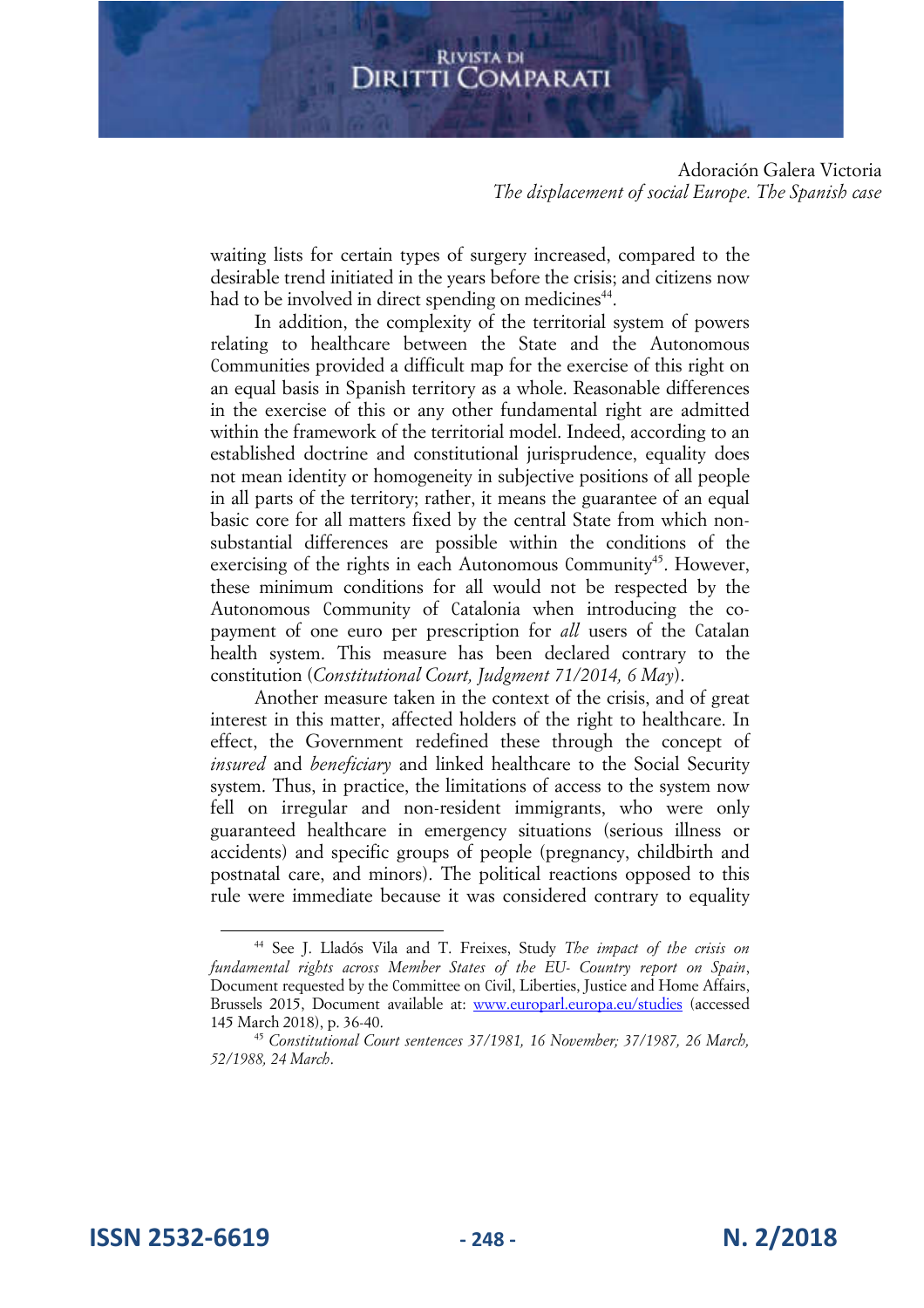Adoración Galera Victoria *The displacement of social Europe. The Spanish case* 

waiting lists for certain types of surgery increased, compared to the desirable trend initiated in the years before the crisis; and citizens now had to be involved in direct spending on medicines<sup>44</sup>.

In addition, the complexity of the territorial system of powers relating to healthcare between the State and the Autonomous Communities provided a difficult map for the exercise of this right on an equal basis in Spanish territory as a whole. Reasonable differences in the exercise of this or any other fundamental right are admitted within the framework of the territorial model. Indeed, according to an established doctrine and constitutional jurisprudence, equality does not mean identity or homogeneity in subjective positions of all people in all parts of the territory; rather, it means the guarantee of an equal basic core for all matters fixed by the central State from which nonsubstantial differences are possible within the conditions of the exercising of the rights in each Autonomous Community<sup>45</sup>. However, these minimum conditions for all would not be respected by the Autonomous Community of Catalonia when introducing the copayment of one euro per prescription for *all* users of the Catalan health system. This measure has been declared contrary to the constitution (*Constitutional Court, Judgment 71/2014, 6 May*).

Another measure taken in the context of the crisis, and of great interest in this matter, affected holders of the right to healthcare. In effect, the Government redefined these through the concept of *insured* and *beneficiary* and linked healthcare to the Social Security system. Thus, in practice, the limitations of access to the system now fell on irregular and non-resident immigrants, who were only guaranteed healthcare in emergency situations (serious illness or accidents) and specific groups of people (pregnancy, childbirth and postnatal care, and minors). The political reactions opposed to this rule were immediate because it was considered contrary to equality

**ISSN 2532-6619 - 248 - N. 2/2018**

<sup>44</sup> See J. Lladós Vila and T. Freixes, Study *The impact of the crisis on fundamental rights across Member States of the EU- Country report on Spain*, Document requested by the Committee on Civil, Liberties, Justice and Home Affairs, Brussels 2015, Document available at: www.europarl.europa.eu/studies (accessed 145 March 2018), p. 36-40.

<sup>45</sup> *Constitutional Court sentences 37/1981, 16 November; 37/1987, 26 March, 52/1988, 24 March*.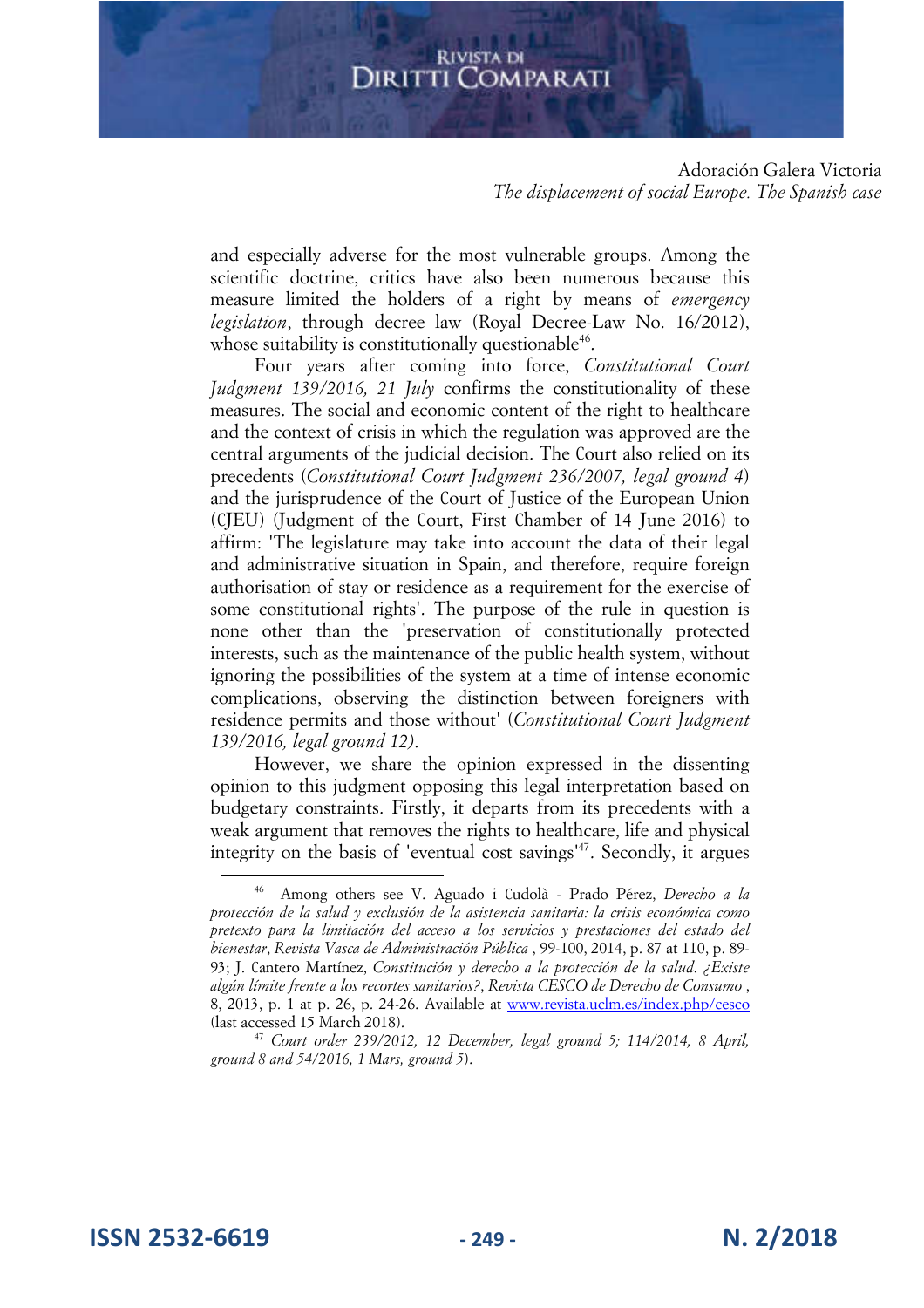Adoración Galera Victoria *The displacement of social Europe. The Spanish case* 

and especially adverse for the most vulnerable groups. Among the scientific doctrine, critics have also been numerous because this measure limited the holders of a right by means of *emergency legislation*, through decree law (Royal Decree-Law No. 16/2012), whose suitability is constitutionally questionable<sup>46</sup>.

Four years after coming into force, *Constitutional Court Judgment 139/2016, 21 July* confirms the constitutionality of these measures. The social and economic content of the right to healthcare and the context of crisis in which the regulation was approved are the central arguments of the judicial decision. The Court also relied on its precedents (*Constitutional Court Judgment 236/2007, legal ground 4*) and the jurisprudence of the Court of Justice of the European Union (CJEU) (Judgment of the Court, First Chamber of 14 June 2016) to affirm: 'The legislature may take into account the data of their legal and administrative situation in Spain, and therefore, require foreign authorisation of stay or residence as a requirement for the exercise of some constitutional rights'. The purpose of the rule in question is none other than the 'preservation of constitutionally protected interests, such as the maintenance of the public health system, without ignoring the possibilities of the system at a time of intense economic complications, observing the distinction between foreigners with residence permits and those without' (*Constitutional Court Judgment 139/2016, legal ground 12)*.

However, we share the opinion expressed in the dissenting opinion to this judgment opposing this legal interpretation based on budgetary constraints. Firstly, it departs from its precedents with a weak argument that removes the rights to healthcare, life and physical integrity on the basis of 'eventual cost savings'<sup>47</sup>. Secondly, it argues

**ISSN 2532-6619 - 249 - N. 2/2018**

<sup>46</sup> Among others see V. Aguado i Cudolà - Prado Pérez, *Derecho a la protección de la salud y exclusión de la asistencia sanitaria: la crisis económica como pretexto para la limitación del acceso a los servicios y prestaciones del estado del bienestar*, *Revista Vasca de Administración Pública* , 99-100, 2014, p. 87 at 110, p. 89- 93; J. Cantero Martínez, *Constitución y derecho a la protección de la salud. ¿Existe algún límite frente a los recortes sanitarios?*, *Revista CESCO de Derecho de Consumo* , 8, 2013, p. 1 at p. 26, p. 24-26. Available at www.revista.uclm.es/index.php/cesco (last accessed 15 March 2018).

<sup>47</sup> *Court order 239/2012, 12 December, legal ground 5; 114/2014, 8 April, ground 8 and 54/2016, 1 Mars, ground 5*).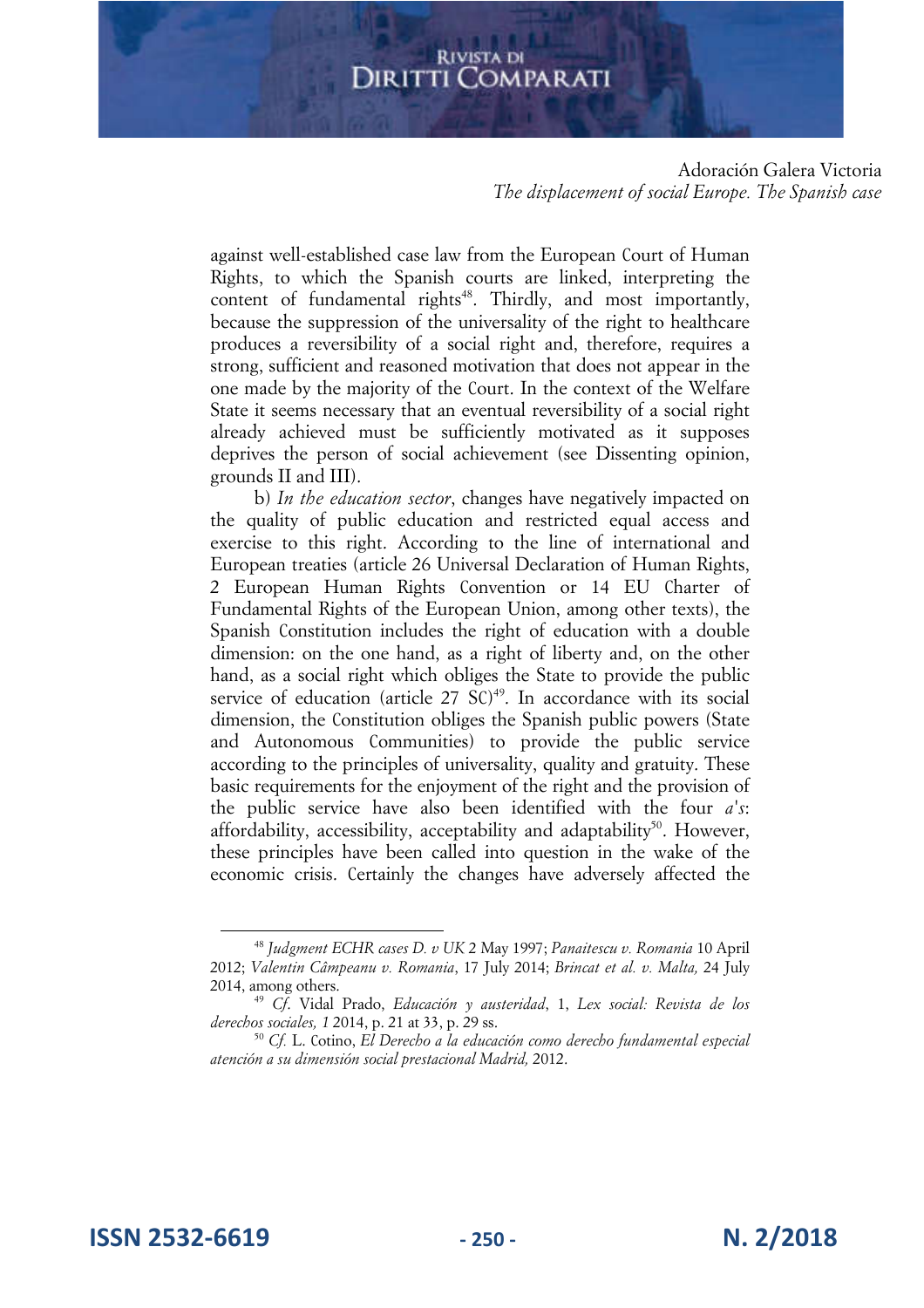Adoración Galera Victoria *The displacement of social Europe. The Spanish case* 

against well-established case law from the European Court of Human Rights, to which the Spanish courts are linked, interpreting the content of fundamental rights<sup>48</sup>. Thirdly, and most importantly, because the suppression of the universality of the right to healthcare produces a reversibility of a social right and, therefore, requires a strong, sufficient and reasoned motivation that does not appear in the one made by the majority of the Court. In the context of the Welfare State it seems necessary that an eventual reversibility of a social right already achieved must be sufficiently motivated as it supposes deprives the person of social achievement (see Dissenting opinion, grounds II and III).

b) *In the education sector*, changes have negatively impacted on the quality of public education and restricted equal access and exercise to this right. According to the line of international and European treaties (article 26 Universal Declaration of Human Rights, 2 European Human Rights Convention or 14 EU Charter of Fundamental Rights of the European Union, among other texts), the Spanish Constitution includes the right of education with a double dimension: on the one hand, as a right of liberty and, on the other hand, as a social right which obliges the State to provide the public service of education (article 27 SC)<sup>49</sup>. In accordance with its social dimension, the Constitution obliges the Spanish public powers (State and Autonomous Communities) to provide the public service according to the principles of universality, quality and gratuity. These basic requirements for the enjoyment of the right and the provision of the public service have also been identified with the four *a's*: affordability, accessibility, acceptability and adaptability<sup>50</sup>. However, these principles have been called into question in the wake of the economic crisis. Certainly the changes have adversely affected the

**ISSN 2532-6619 - 250 - N. 2/2018**

<sup>48</sup> *Judgment ECHR cases D. v UK* 2 May 1997; *Panaitescu v. Romania* 10 April 2012; *Valentin Câmpeanu v. Romania*, 17 July 2014; *Brincat et al. v. Malta,* 24 July 2014, among others.

<sup>49</sup> *Cf*. Vidal Prado, *Educación y austeridad*, 1, *Lex social: Revista de los derechos sociales, 1* 2014, p. 21 at 33, p. 29 ss.

<sup>5</sup><sup>0</sup> *Cf.* L. Cotino, *El Derecho a la educación como derecho fundamental especial atención a su dimensión social prestacional Madrid,* 2012.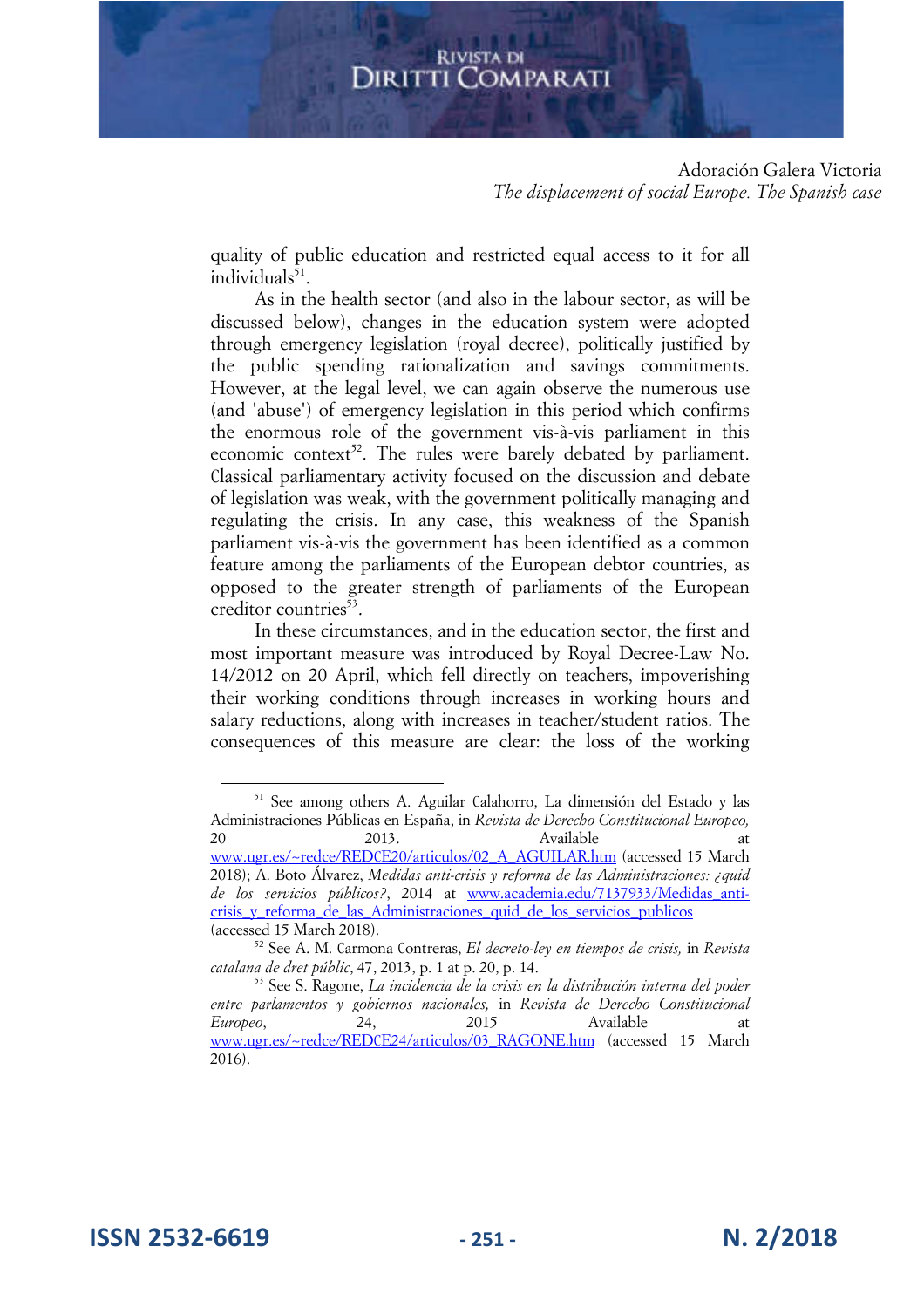#### Adoración Galera Victoria *The displacement of social Europe. The Spanish case*

quality of public education and restricted equal access to it for all individuals<sup>51</sup>.

As in the health sector (and also in the labour sector, as will be discussed below), changes in the education system were adopted through emergency legislation (royal decree), politically justified by the public spending rationalization and savings commitments. However, at the legal level, we can again observe the numerous use (and 'abuse') of emergency legislation in this period which confirms the enormous role of the government vis-à-vis parliament in this economic context<sup>52</sup>. The rules were barely debated by parliament. Classical parliamentary activity focused on the discussion and debate of legislation was weak, with the government politically managing and regulating the crisis. In any case, this weakness of the Spanish parliament vis-à-vis the government has been identified as a common feature among the parliaments of the European debtor countries, as opposed to the greater strength of parliaments of the European creditor countries<sup>53</sup>.

In these circumstances, and in the education sector, the first and most important measure was introduced by Royal Decree-Law No. 14/2012 on 20 April, which fell directly on teachers, impoverishing their working conditions through increases in working hours and salary reductions, along with increases in teacher/student ratios. The consequences of this measure are clear: the loss of the working

**ISSN 2532-6619 - 251 - N. 2/2018**

<sup>51</sup> See among others A. Aguilar Calahorro, La dimensión del Estado y las Administraciones Públicas en España, in *Revista de Derecho Constitucional Europeo,*  20 2013. Available at www.ugr.es/~redce/REDCE20/articulos/02\_A\_AGUILAR.htm (accessed 15 March 2018); A. Boto Álvarez, *Medidas anti-crisis y reforma de las Administraciones: ¿quid de los servicios públicos?*, 2014 at www.academia.edu/7137933/Medidas\_anticrisis y reforma de las Administraciones quid de los servicios publicos (accessed 15 March 2018).

<sup>52</sup> See A. M. Carmona Contreras, *El decreto-ley en tiempos de crisis,* in *Revista catalana de dret públic*, 47, 2013, p. 1 at p. 20, p. 14.

<sup>53</sup> See S. Ragone, *La incidencia de la crisis en la distribución interna del poder entre parlamentos y gobiernos nacionales,* in *Revista de Derecho Constitucional Europeo*, 24, 2015 Available at www.ugr.es/~redce/REDCE24/articulos/03\_RAGONE.htm (accessed 15 March 2016).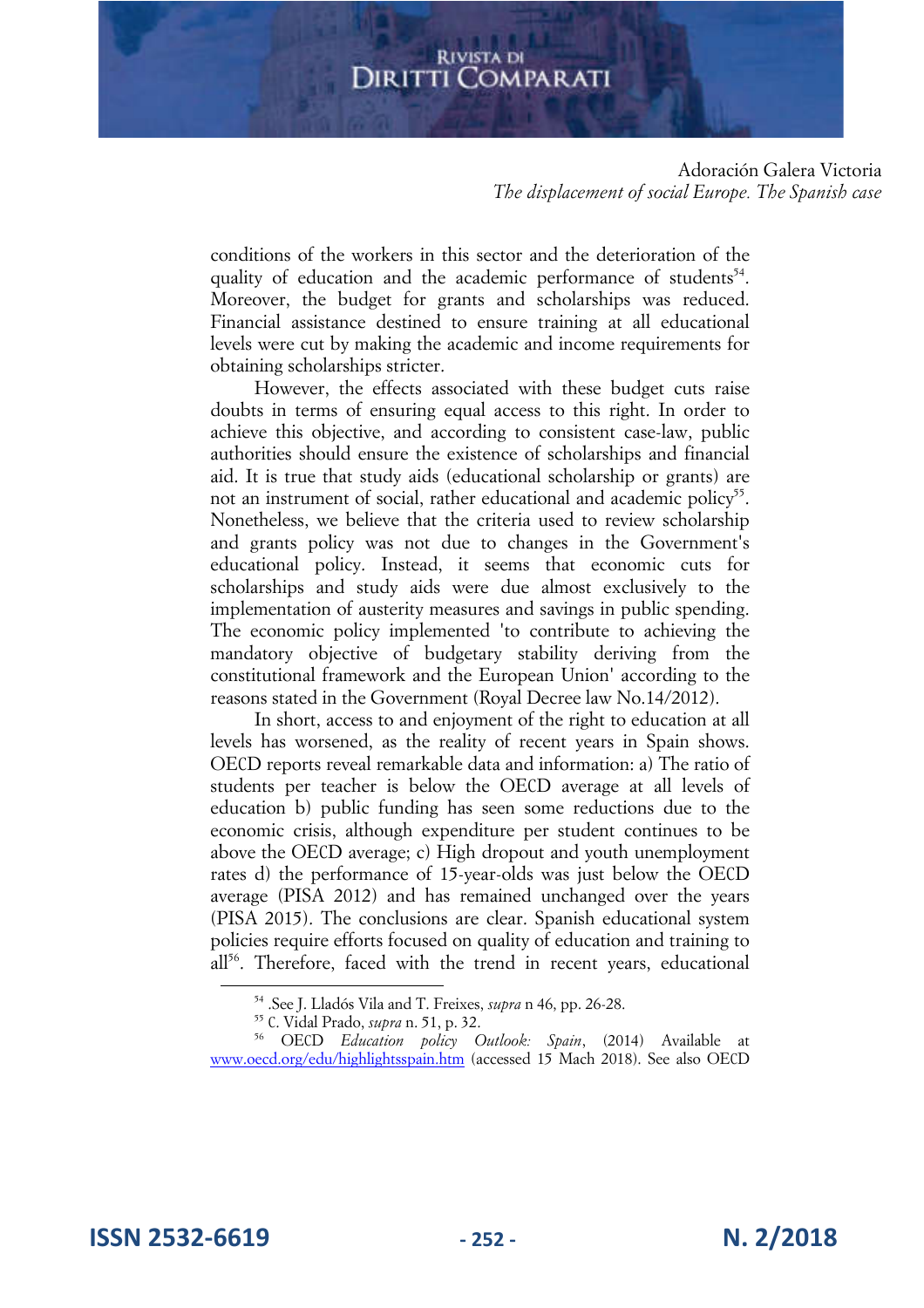Adoración Galera Victoria *The displacement of social Europe. The Spanish case* 

conditions of the workers in this sector and the deterioration of the quality of education and the academic performance of students<sup>54</sup>. Moreover, the budget for grants and scholarships was reduced. Financial assistance destined to ensure training at all educational levels were cut by making the academic and income requirements for obtaining scholarships stricter.

However, the effects associated with these budget cuts raise doubts in terms of ensuring equal access to this right. In order to achieve this objective, and according to consistent case-law, public authorities should ensure the existence of scholarships and financial aid. It is true that study aids (educational scholarship or grants) are not an instrument of social, rather educational and academic policy<sup>55</sup>. Nonetheless, we believe that the criteria used to review scholarship and grants policy was not due to changes in the Government's educational policy. Instead, it seems that economic cuts for scholarships and study aids were due almost exclusively to the implementation of austerity measures and savings in public spending. The economic policy implemented 'to contribute to achieving the mandatory objective of budgetary stability deriving from the constitutional framework and the European Union' according to the reasons stated in the Government (Royal Decree law No.14/2012).

In short, access to and enjoyment of the right to education at all levels has worsened, as the reality of recent years in Spain shows. OECD reports reveal remarkable data and information: a) The ratio of students per teacher is below the OECD average at all levels of education b) public funding has seen some reductions due to the economic crisis, although expenditure per student continues to be above the OECD average; c) High dropout and youth unemployment rates d) the performance of 15-year-olds was just below the OECD average (PISA 2012) and has remained unchanged over the years (PISA 2015). The conclusions are clear. Spanish educational system policies require efforts focused on quality of education and training to all<sup>56</sup>. Therefore, faced with the trend in recent years, educational

**ISSN 2532-6619 - 252 - N. 2/2018**

<sup>54</sup> .See J. Lladós Vila and T. Freixes, *supra* n 46, pp. 26-28.

<sup>55</sup> C. Vidal Prado, *supra* n. 51, p. 32.

<sup>56</sup> OECD *Education policy Outlook: Spain*, (2014) Available at www.oecd.org/edu/highlightsspain.htm (accessed 15 Mach 2018). See also OECD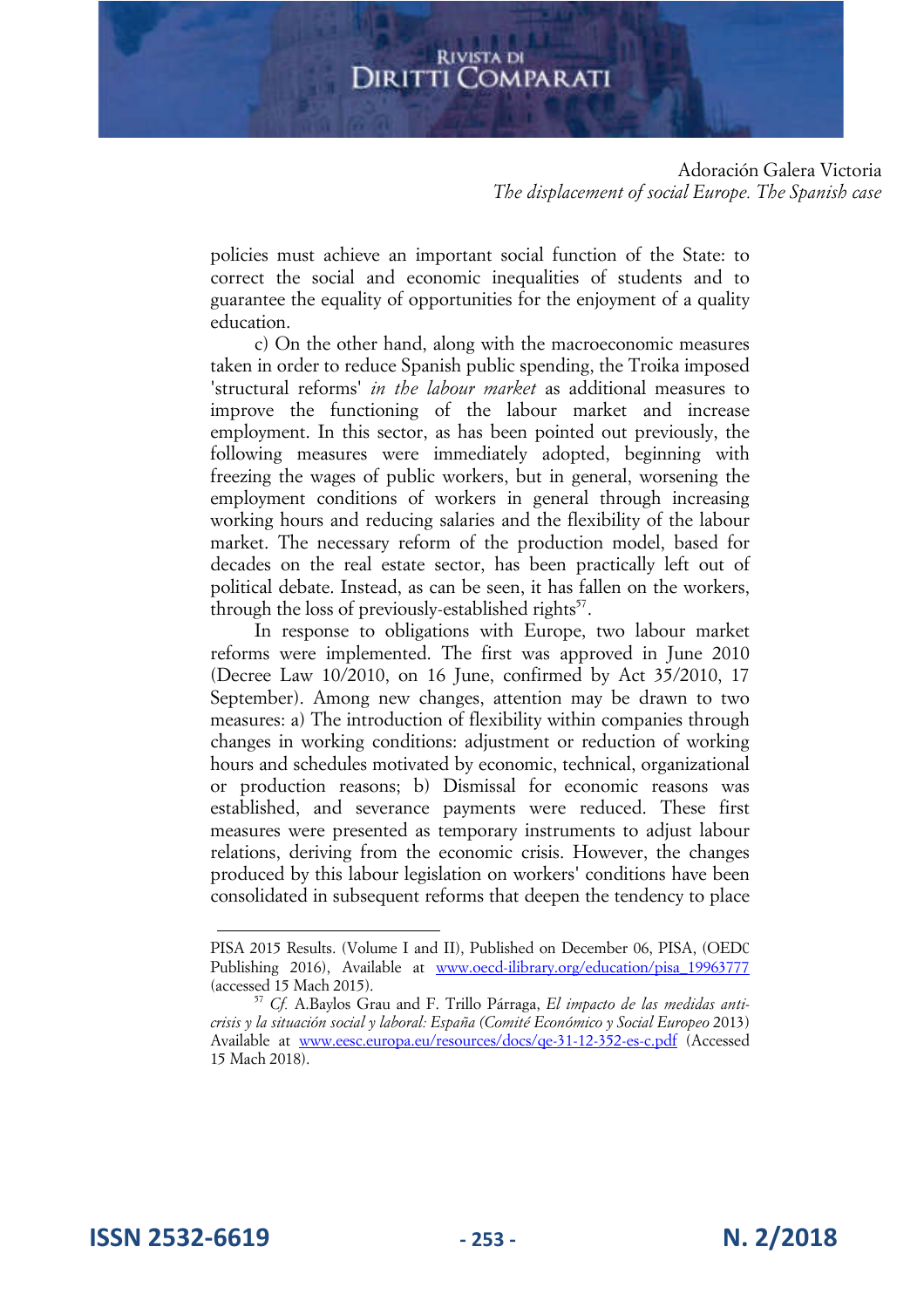#### Adoración Galera Victoria *The displacement of social Europe. The Spanish case*

policies must achieve an important social function of the State: to correct the social and economic inequalities of students and to guarantee the equality of opportunities for the enjoyment of a quality education.

c) On the other hand, along with the macroeconomic measures taken in order to reduce Spanish public spending, the Troika imposed 'structural reforms' *in the labour market* as additional measures to improve the functioning of the labour market and increase employment. In this sector, as has been pointed out previously, the following measures were immediately adopted, beginning with freezing the wages of public workers, but in general, worsening the employment conditions of workers in general through increasing working hours and reducing salaries and the flexibility of the labour market. The necessary reform of the production model, based for decades on the real estate sector, has been practically left out of political debate. Instead, as can be seen, it has fallen on the workers, through the loss of previously-established rights $57$ .

In response to obligations with Europe, two labour market reforms were implemented. The first was approved in June 2010 (Decree Law 10/2010, on 16 June, confirmed by Act 35/2010, 17 September). Among new changes, attention may be drawn to two measures: a) The introduction of flexibility within companies through changes in working conditions: adjustment or reduction of working hours and schedules motivated by economic, technical, organizational or production reasons; b) Dismissal for economic reasons was established, and severance payments were reduced. These first measures were presented as temporary instruments to adjust labour relations, deriving from the economic crisis. However, the changes produced by this labour legislation on workers' conditions have been consolidated in subsequent reforms that deepen the tendency to place

**ISSN 2532-6619 - 253 - N. 2/2018**

PISA 2015 Results. (Volume I and II), Published on December 06, PISA, (OEDC Publishing 2016), Available at www.oecd-ilibrary.org/education/pisa\_19963777 (accessed 15 Mach 2015).

<sup>57</sup> *Cf.* A.Baylos Grau and F. Trillo Párraga, *El impacto de las medidas anticrisis y la situación social y laboral: España (Comité Económico y Social Europeo* 2013) Available at www.eesc.europa.eu/resources/docs/qe-31-12-352-es-c.pdf (Accessed 15 Mach 2018).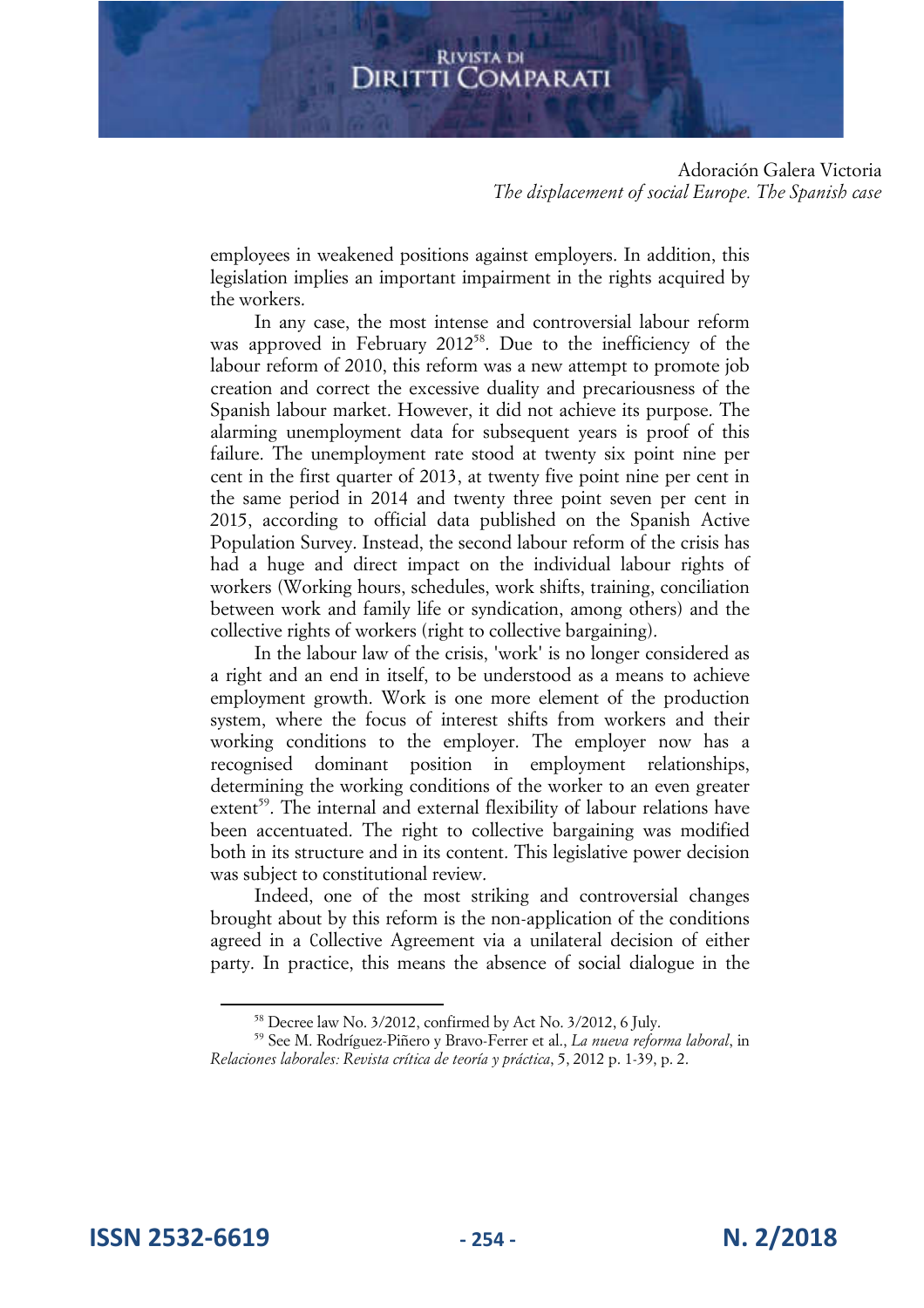Adoración Galera Victoria *The displacement of social Europe. The Spanish case* 

employees in weakened positions against employers. In addition, this legislation implies an important impairment in the rights acquired by the workers.

In any case, the most intense and controversial labour reform was approved in February 2012<sup>58</sup>. Due to the inefficiency of the labour reform of 2010, this reform was a new attempt to promote job creation and correct the excessive duality and precariousness of the Spanish labour market. However, it did not achieve its purpose. The alarming unemployment data for subsequent years is proof of this failure. The unemployment rate stood at twenty six point nine per cent in the first quarter of 2013, at twenty five point nine per cent in the same period in 2014 and twenty three point seven per cent in 2015, according to official data published on the Spanish Active Population Survey. Instead, the second labour reform of the crisis has had a huge and direct impact on the individual labour rights of workers (Working hours, schedules, work shifts, training, conciliation between work and family life or syndication, among others) and the collective rights of workers (right to collective bargaining).

In the labour law of the crisis, 'work' is no longer considered as a right and an end in itself, to be understood as a means to achieve employment growth. Work is one more element of the production system, where the focus of interest shifts from workers and their working conditions to the employer. The employer now has a recognised dominant position in employment relationships, determining the working conditions of the worker to an even greater extent<sup>59</sup>. The internal and external flexibility of labour relations have been accentuated. The right to collective bargaining was modified both in its structure and in its content. This legislative power decision was subject to constitutional review.

Indeed, one of the most striking and controversial changes brought about by this reform is the non-application of the conditions agreed in a Collective Agreement via a unilateral decision of either party. In practice, this means the absence of social dialogue in the

<sup>58</sup> Decree law No. 3/2012, confirmed by Act No. 3/2012, 6 July.

<sup>59</sup> See M. Rodríguez-Piñero y Bravo-Ferrer et al., *La nueva reforma laboral*, in *Relaciones laborales: Revista crítica de teoría y práctica*, 5, 2012 p. 1-39, p. 2.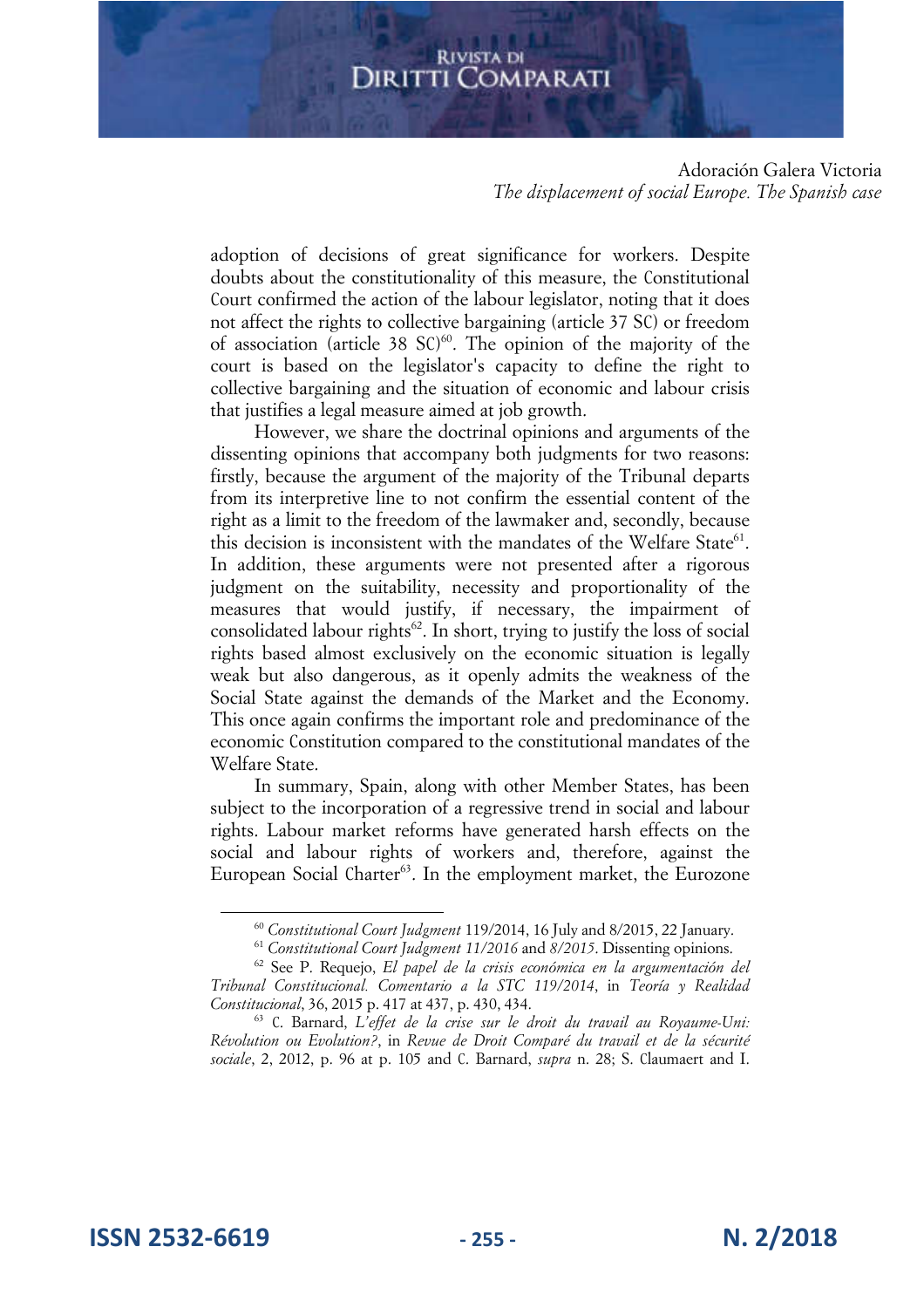Adoración Galera Victoria *The displacement of social Europe. The Spanish case* 

adoption of decisions of great significance for workers. Despite doubts about the constitutionality of this measure, the Constitutional Court confirmed the action of the labour legislator, noting that it does not affect the rights to collective bargaining (article 37 SC) or freedom of association (article 38 SC) 60 . The opinion of the majority of the court is based on the legislator's capacity to define the right to collective bargaining and the situation of economic and labour crisis that justifies a legal measure aimed at job growth.

However, we share the doctrinal opinions and arguments of the dissenting opinions that accompany both judgments for two reasons: firstly, because the argument of the majority of the Tribunal departs from its interpretive line to not confirm the essential content of the right as a limit to the freedom of the lawmaker and, secondly, because this decision is inconsistent with the mandates of the Welfare State<sup>61</sup>. In addition, these arguments were not presented after a rigorous judgment on the suitability, necessity and proportionality of the measures that would justify, if necessary, the impairment of consolidated labour rights<sup>62</sup>. In short, trying to justify the loss of social rights based almost exclusively on the economic situation is legally weak but also dangerous, as it openly admits the weakness of the Social State against the demands of the Market and the Economy. This once again confirms the important role and predominance of the economic Constitution compared to the constitutional mandates of the Welfare State.

In summary, Spain, along with other Member States, has been subject to the incorporation of a regressive trend in social and labour rights. Labour market reforms have generated harsh effects on the social and labour rights of workers and, therefore, against the European Social Charter<sup>63</sup>. In the employment market, the Eurozone

**ISSN 2532-6619 - 255 - N. 2/2018**

<sup>6</sup><sup>0</sup> *Constitutional Court Judgment* 119/2014, 16 July and 8/2015, 22 January.

<sup>61</sup> *Constitutional Court Judgment 11/2016* and *8/2015*. Dissenting opinions.

<sup>62</sup> See P. Requejo, *El papel de la crisis económica en la argumentación del Tribunal Constitucional. Comentario a la STC 119/2014*, in *Teoría y Realidad Constitucional*, 36, 2015 p. 417 at 437, p. 430, 434.

<sup>63</sup> C. Barnard, *L'effet de la crise sur le droit du travail au Royaume-Uni: Révolution ou Evolution?*, in *Revue de Droit Comparé du travail et de la sécurité sociale*, 2, 2012, p. 96 at p. 105 and C. Barnard, *supra* n. 28; S. Claumaert and I.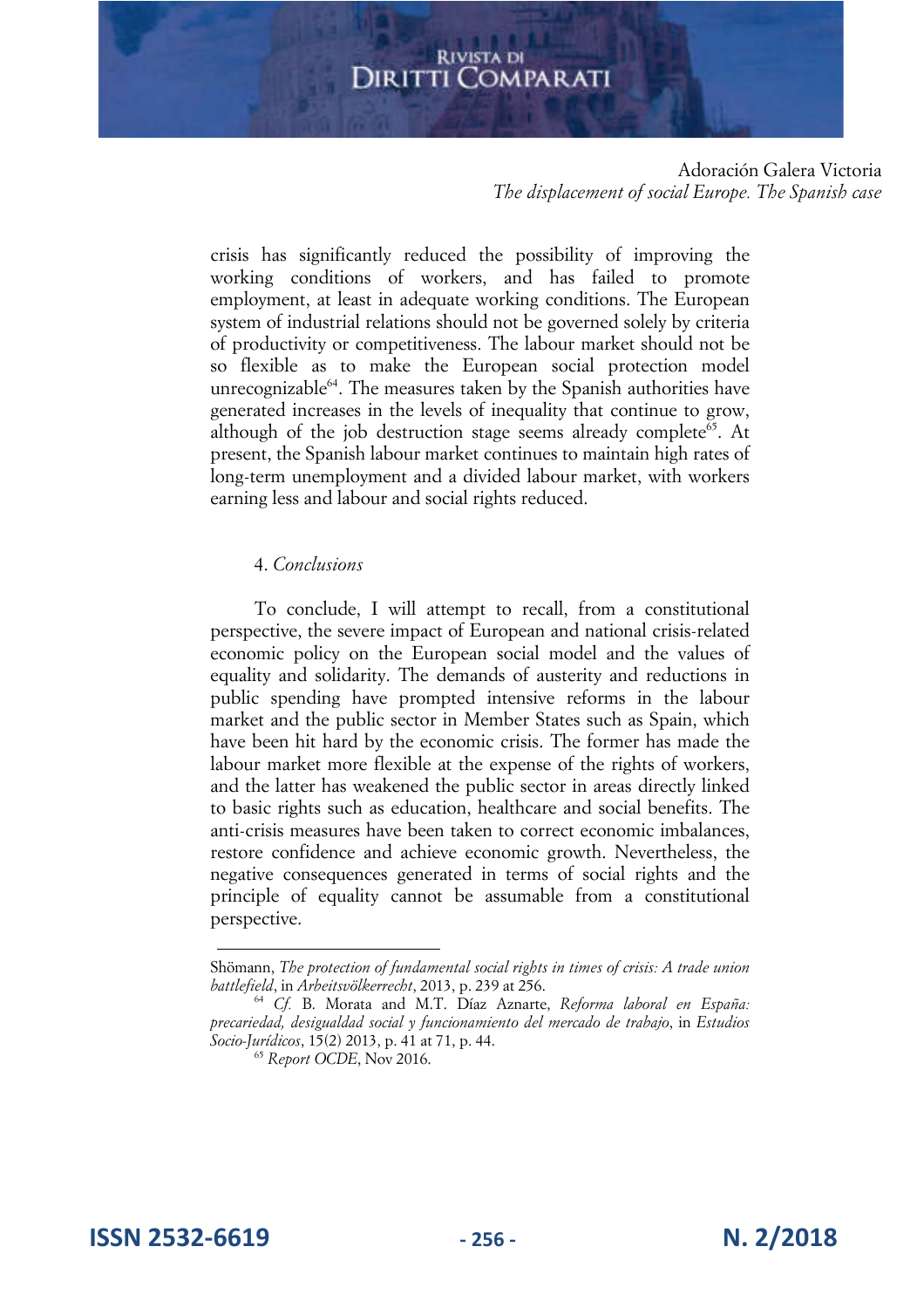#### Adoración Galera Victoria *The displacement of social Europe. The Spanish case*

crisis has significantly reduced the possibility of improving the working conditions of workers, and has failed to promote employment, at least in adequate working conditions. The European system of industrial relations should not be governed solely by criteria of productivity or competitiveness. The labour market should not be so flexible as to make the European social protection model unrecognizable<sup>64</sup>. The measures taken by the Spanish authorities have generated increases in the levels of inequality that continue to grow, although of the job destruction stage seems already complete<sup>65</sup>. At present, the Spanish labour market continues to maintain high rates of long-term unemployment and a divided labour market, with workers earning less and labour and social rights reduced.

#### 4. *Conclusions*

To conclude, I will attempt to recall, from a constitutional perspective, the severe impact of European and national crisis-related economic policy on the European social model and the values of equality and solidarity. The demands of austerity and reductions in public spending have prompted intensive reforms in the labour market and the public sector in Member States such as Spain, which have been hit hard by the economic crisis. The former has made the labour market more flexible at the expense of the rights of workers, and the latter has weakened the public sector in areas directly linked to basic rights such as education, healthcare and social benefits. The anti-crisis measures have been taken to correct economic imbalances, restore confidence and achieve economic growth. Nevertheless, the negative consequences generated in terms of social rights and the principle of equality cannot be assumable from a constitutional perspective.

**ISSN 2532-6619 - 256 - N. 2/2018**

Shömann, *The protection of fundamental social rights in times of crisis: A trade union battlefield*, in *Arbeitsvölkerrecht*, 2013, p. 239 at 256.

<sup>64</sup> *Cf.* B. Morata and M.T. Díaz Aznarte, *Reforma laboral en España: precariedad, desigualdad social y funcionamiento del mercado de trabajo*, in *Estudios Socio-Jurídicos*, 15(2) 2013, p. 41 at 71, p. 44.

<sup>65</sup> *Report OCDE*, Nov 2016.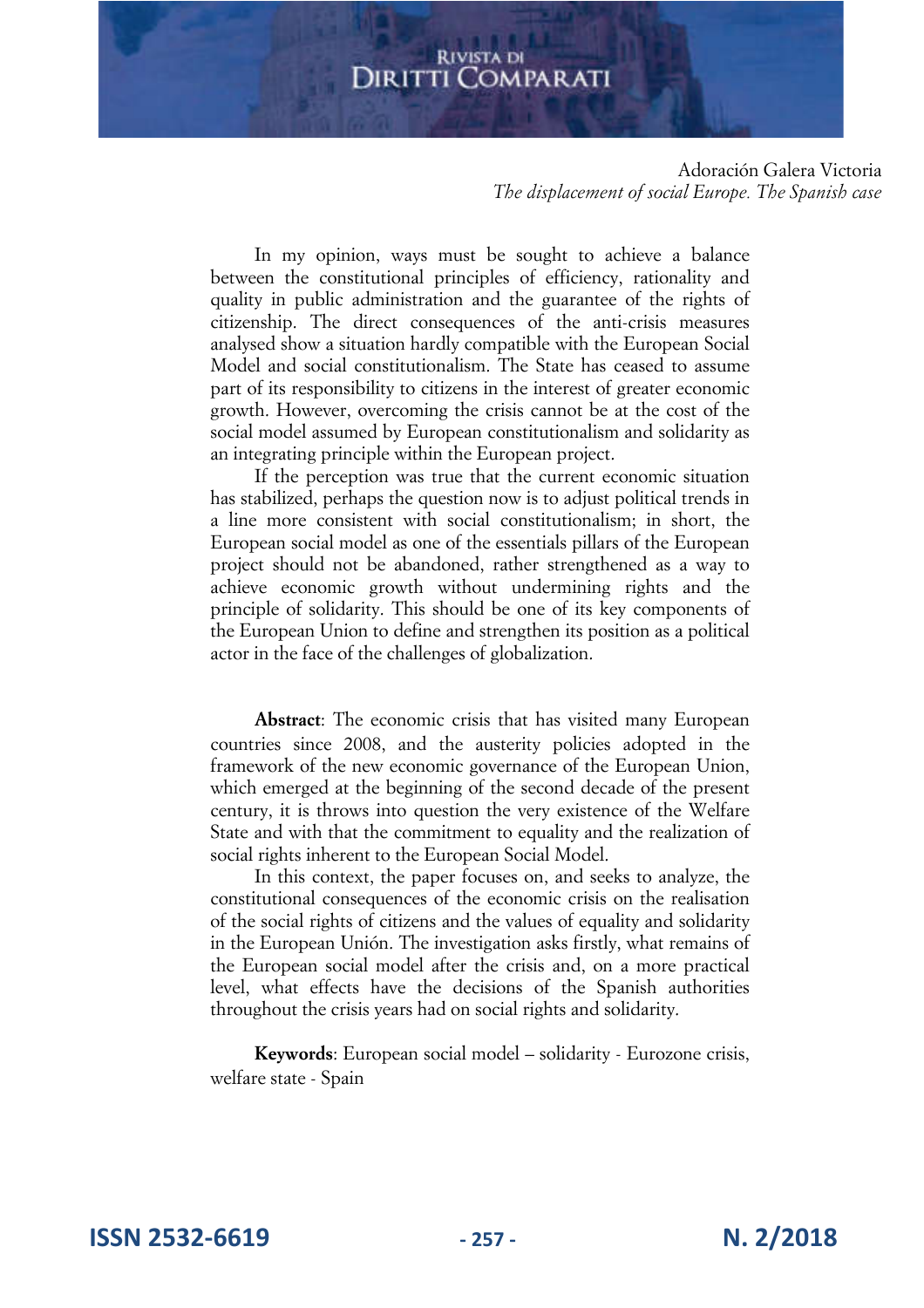Adoración Galera Victoria *The displacement of social Europe. The Spanish case* 

In my opinion, ways must be sought to achieve a balance between the constitutional principles of efficiency, rationality and quality in public administration and the guarantee of the rights of citizenship. The direct consequences of the anti-crisis measures analysed show a situation hardly compatible with the European Social Model and social constitutionalism. The State has ceased to assume part of its responsibility to citizens in the interest of greater economic growth. However, overcoming the crisis cannot be at the cost of the social model assumed by European constitutionalism and solidarity as an integrating principle within the European project.

If the perception was true that the current economic situation has stabilized, perhaps the question now is to adjust political trends in a line more consistent with social constitutionalism; in short, the European social model as one of the essentials pillars of the European project should not be abandoned, rather strengthened as a way to achieve economic growth without undermining rights and the principle of solidarity. This should be one of its key components of the European Union to define and strengthen its position as a political actor in the face of the challenges of globalization.

**Abstract**: The economic crisis that has visited many European countries since 2008, and the austerity policies adopted in the framework of the new economic governance of the European Union, which emerged at the beginning of the second decade of the present century, it is throws into question the very existence of the Welfare State and with that the commitment to equality and the realization of social rights inherent to the European Social Model.

In this context, the paper focuses on, and seeks to analyze, the constitutional consequences of the economic crisis on the realisation of the social rights of citizens and the values of equality and solidarity in the European Unión. The investigation asks firstly, what remains of the European social model after the crisis and, on a more practical level, what effects have the decisions of the Spanish authorities throughout the crisis years had on social rights and solidarity.

**Keywords**: European social model – solidarity - Eurozone crisis, welfare state - Spain